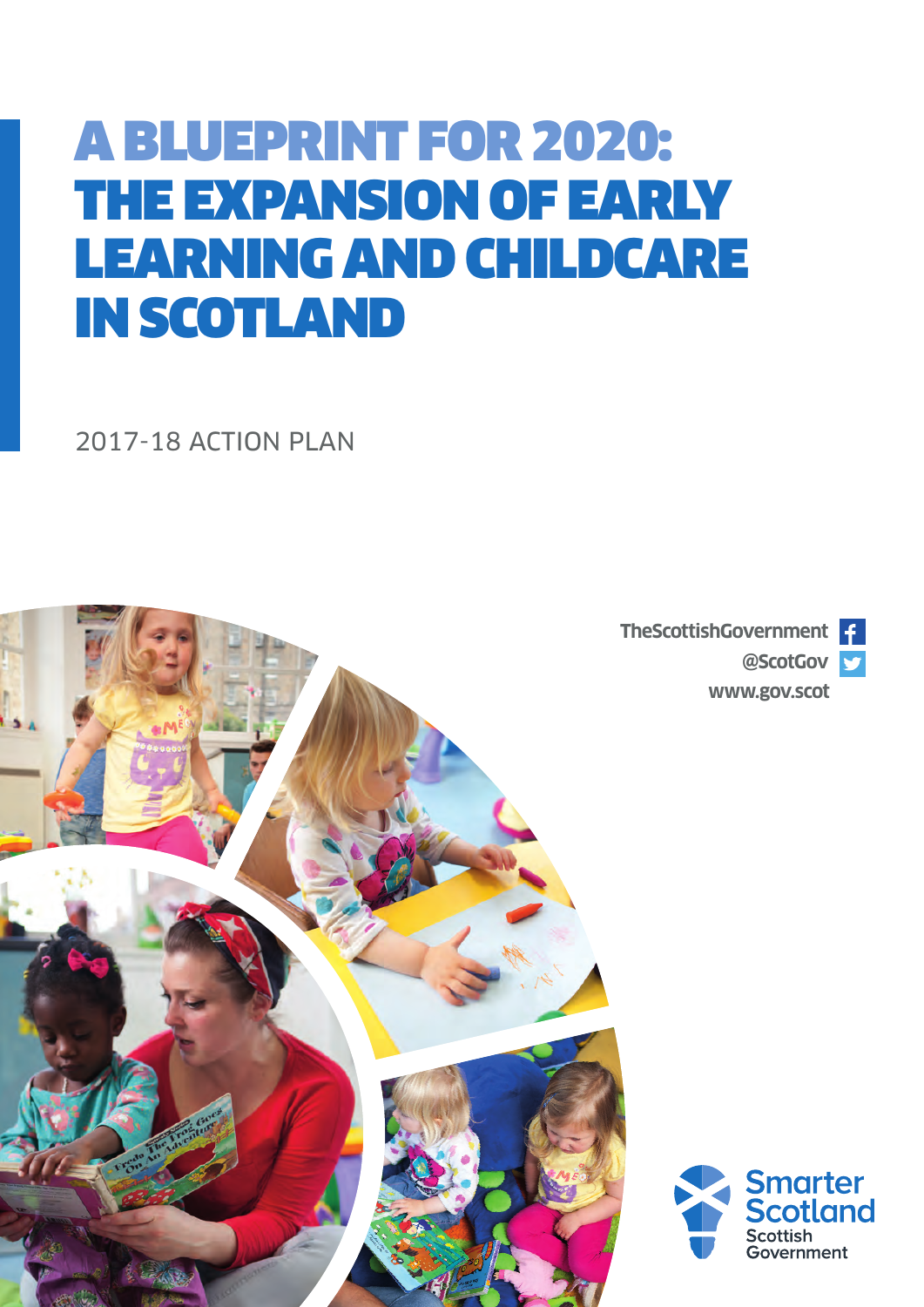# A BLUEPRINT FOR 2020: THE EXPANSION OF EARLY LEARNING AND CHILDCARE IN SCOTLAND

2017-18 ACTION PLAN

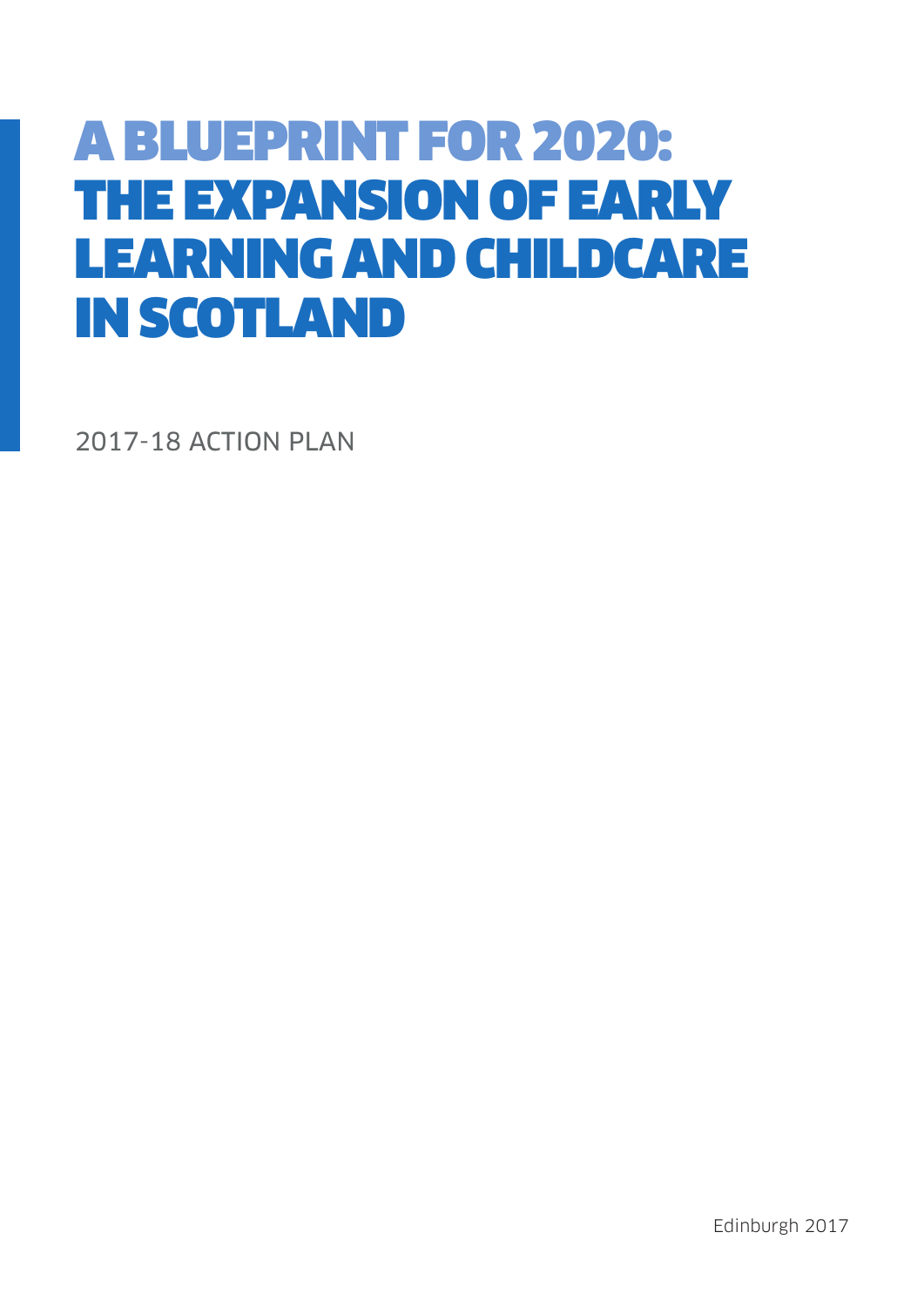# A BLUEPRINT FOR 2020: THE EXPANSION OF EARLY LEARNING AND CHILDCARE IN SCOTLAND

2017-18 ACTION PLAN

Edinburgh 2017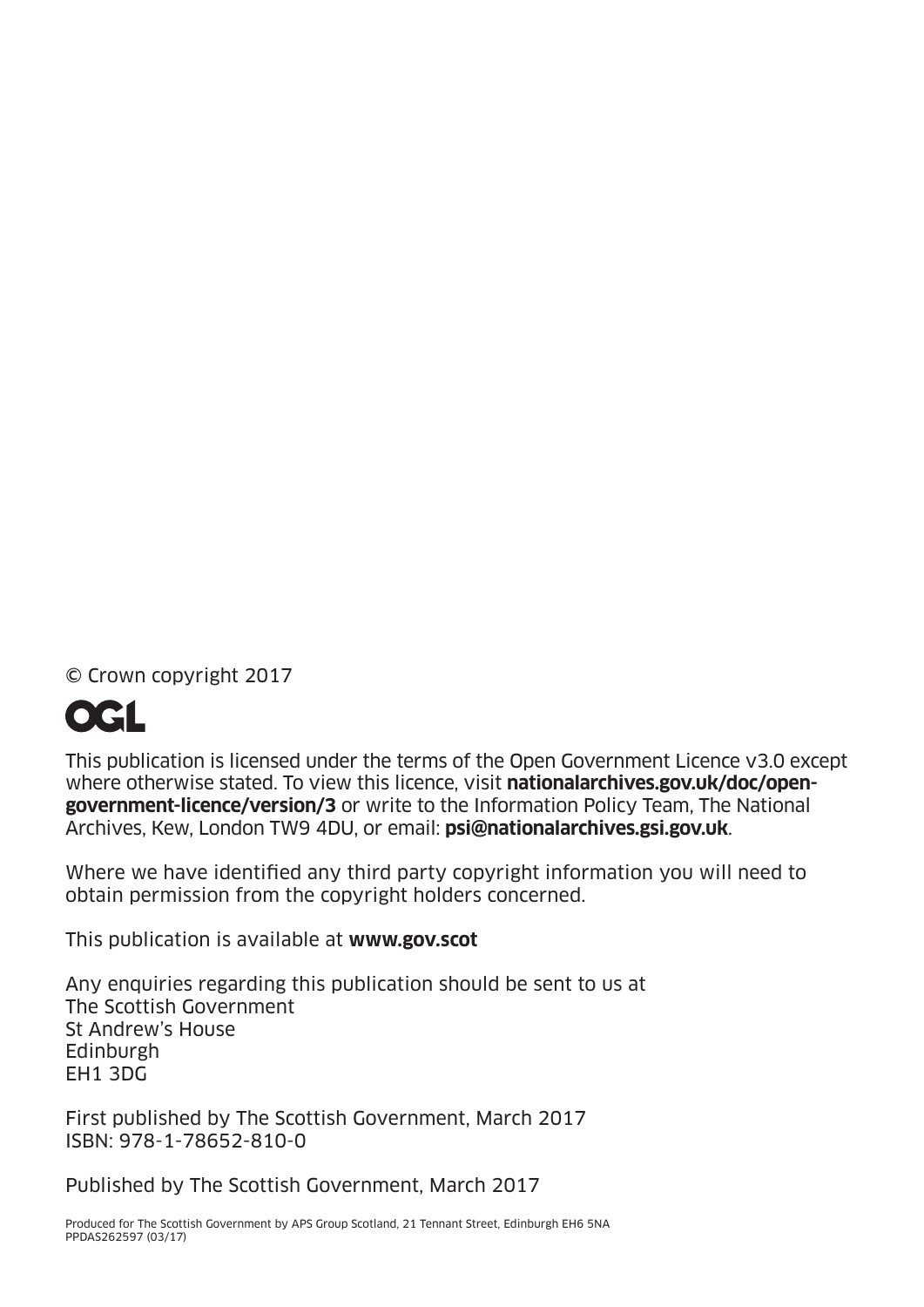© Crown copyright 2017



This publication is licensed under the terms of the Open Government Licence v3.0 except where otherwise stated. To view this licence, visit **[nationalarchives.gov.uk/doc/open](http://nationalarchives.gov.uk/doc/open-government-licence/version/3)[government-licence/version/3](http://nationalarchives.gov.uk/doc/open-government-licence/version/3)** or write to the Information Policy Team, The National Archives, Kew, London TW9 4DU, or email: **psi@nationalarchives.gsi.gov.uk**.

Where we have identified any third party copyright information you will need to obtain permission from the copyright holders concerned.

This publication is available at **[www.gov.scot](http://www.gov.scot)**

Any enquiries regarding this publication should be sent to us at The Scottish Government St Andrew's House **Edinburgh** EH1 3DG

First published by The Scottish Government, March 2017 ISBN: 978-1-78652-810-0

Published by The Scottish Government, March 2017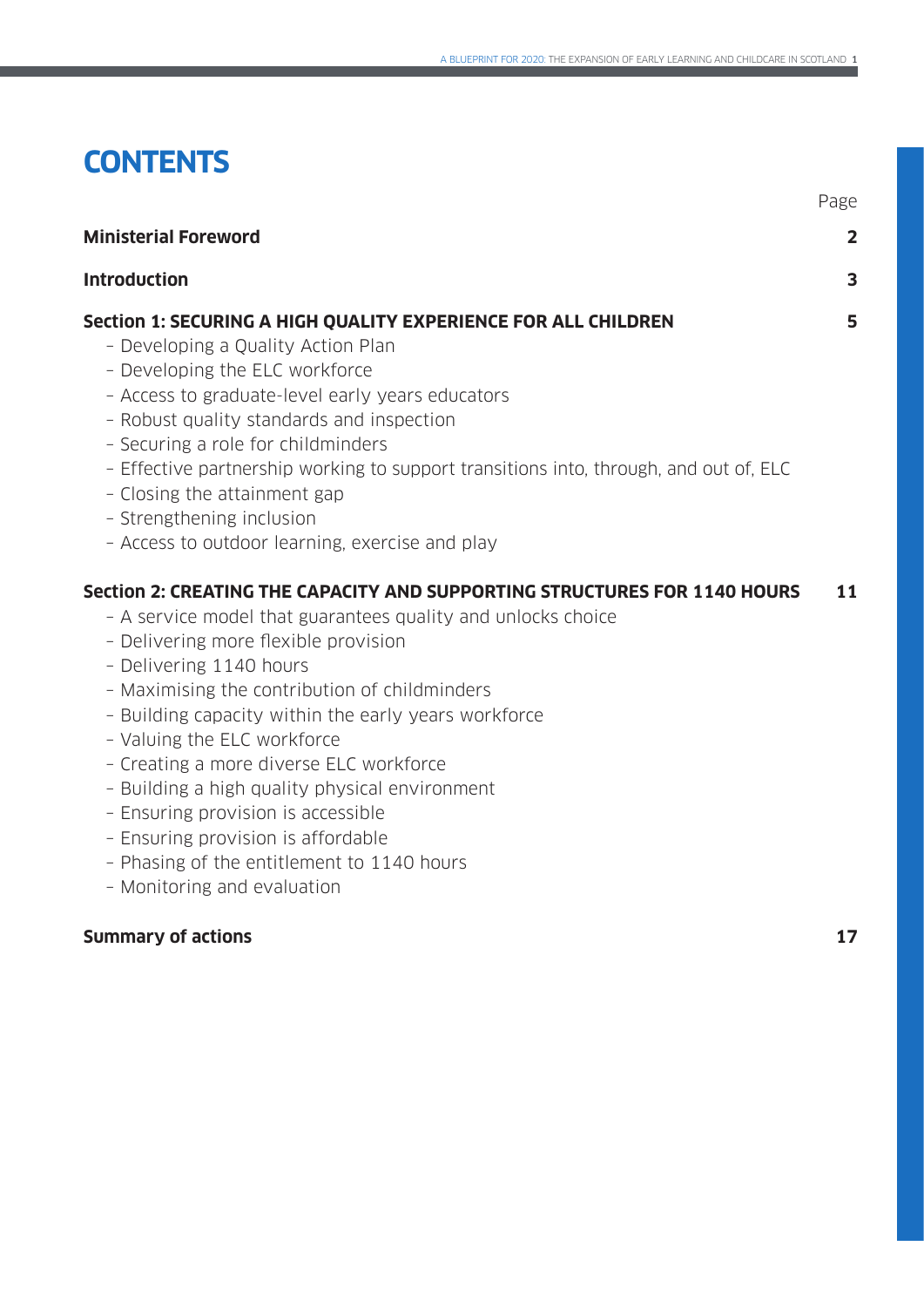# **CONTENTS**

| <b>Ministerial Foreword</b>                                                                                                                                                                                                                                                                                                                                                                                                                                                                                                                                                                                | $\overline{2}$ |
|------------------------------------------------------------------------------------------------------------------------------------------------------------------------------------------------------------------------------------------------------------------------------------------------------------------------------------------------------------------------------------------------------------------------------------------------------------------------------------------------------------------------------------------------------------------------------------------------------------|----------------|
| <b>Introduction</b>                                                                                                                                                                                                                                                                                                                                                                                                                                                                                                                                                                                        | 3              |
| Section 1: SECURING A HIGH QUALITY EXPERIENCE FOR ALL CHILDREN<br>- Developing a Quality Action Plan<br>- Developing the ELC workforce<br>- Access to graduate-level early years educators<br>- Robust quality standards and inspection<br>- Securing a role for childminders<br>- Effective partnership working to support transitions into, through, and out of, ELC<br>- Closing the attainment gap<br>- Strengthening inclusion<br>- Access to outdoor learning, exercise and play                                                                                                                     | 5              |
| Section 2: CREATING THE CAPACITY AND SUPPORTING STRUCTURES FOR 1140 HOURS<br>- A service model that guarantees quality and unlocks choice<br>- Delivering more flexible provision<br>- Delivering 1140 hours<br>- Maximising the contribution of childminders<br>- Building capacity within the early years workforce<br>- Valuing the ELC workforce<br>- Creating a more diverse ELC workforce<br>- Building a high quality physical environment<br>- Ensuring provision is accessible<br>- Ensuring provision is affordable<br>- Phasing of the entitlement to 1140 hours<br>- Monitoring and evaluation | 11             |

# **Summary of actions 17**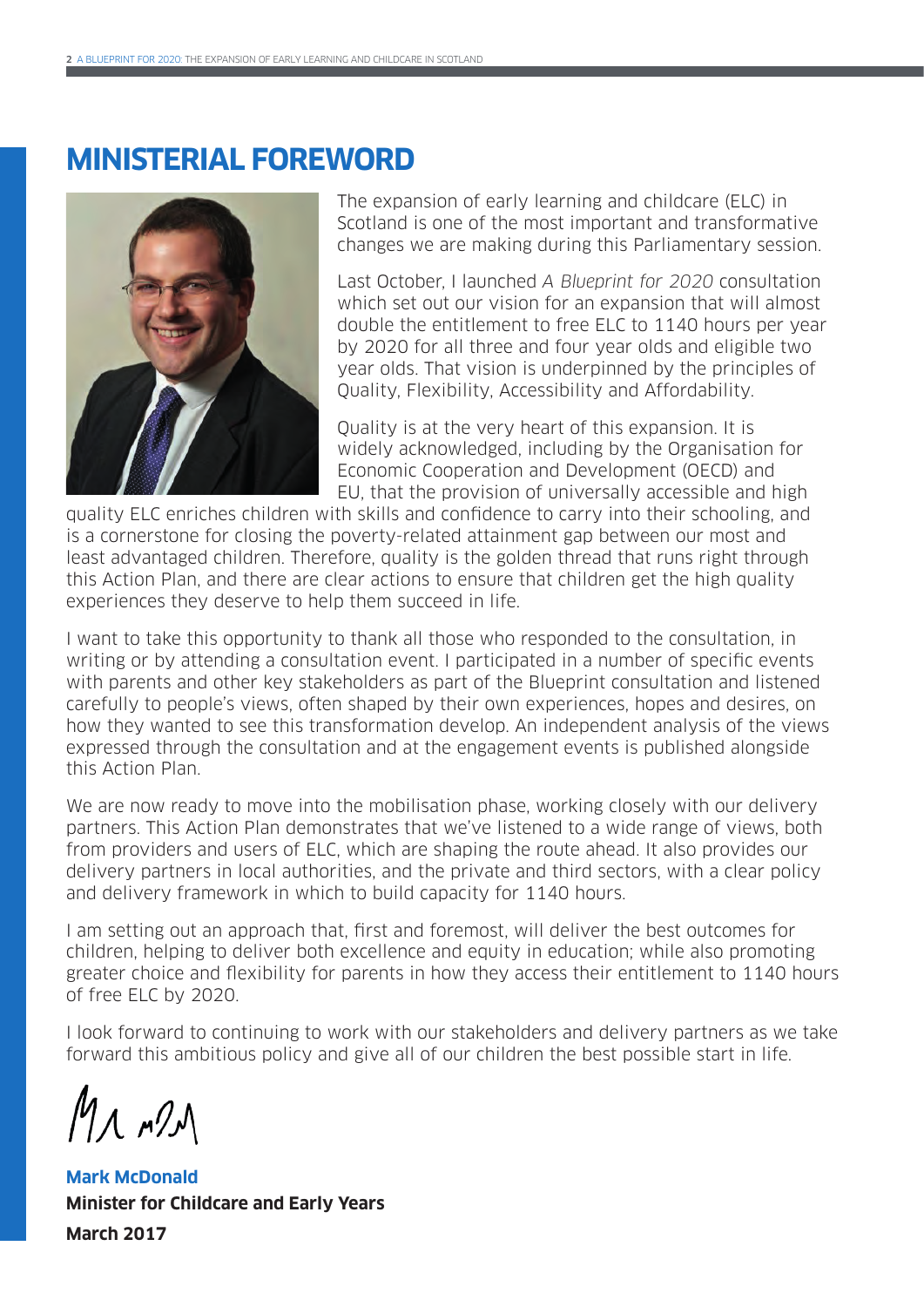# **MINISTERIAL FOREWORD**



The expansion of early learning and childcare (ELC) in Scotland is one of the most important and transformative changes we are making during this Parliamentary session.

Last October, I launched A Blueprint for 2020 consultation which set out our vision for an expansion that will almost double the entitlement to free ELC to 1140 hours per year by 2020 for all three and four year olds and eligible two year olds. That vision is underpinned by the principles of Quality, Flexibility, Accessibility and Affordability.

Quality is at the very heart of this expansion. It is widely acknowledged, including by the Organisation for Economic Cooperation and Development (OECD) and EU, that the provision of universally accessible and high

quality ELC enriches children with skills and confidence to carry into their schooling, and is a cornerstone for closing the poverty-related attainment gap between our most and least advantaged children. Therefore, quality is the golden thread that runs right through this Action Plan, and there are clear actions to ensure that children get the high quality experiences they deserve to help them succeed in life.

I want to take this opportunity to thank all those who responded to the consultation, in writing or by attending a consultation event. I participated in a number of specific events with parents and other key stakeholders as part of the Blueprint consultation and listened carefully to people's views, often shaped by their own experiences, hopes and desires, on how they wanted to see this transformation develop. An independent analysis of the views expressed through the consultation and at the engagement events is published alongside this Action Plan.

We are now ready to move into the mobilisation phase, working closely with our delivery partners. This Action Plan demonstrates that we've listened to a wide range of views, both from providers and users of ELC, which are shaping the route ahead. It also provides our delivery partners in local authorities, and the private and third sectors, with a clear policy and delivery framework in which to build capacity for 1140 hours.

I am setting out an approach that, first and foremost, will deliver the best outcomes for children, helping to deliver both excellence and equity in education; while also promoting greater choice and flexibility for parents in how they access their entitlement to 1140 hours of free ELC by 2020.

I look forward to continuing to work with our stakeholders and delivery partners as we take forward this ambitious policy and give all of our children the best possible start in life.

Mr n21

**Mark McDonald Minister for Childcare and Early Years March 2017**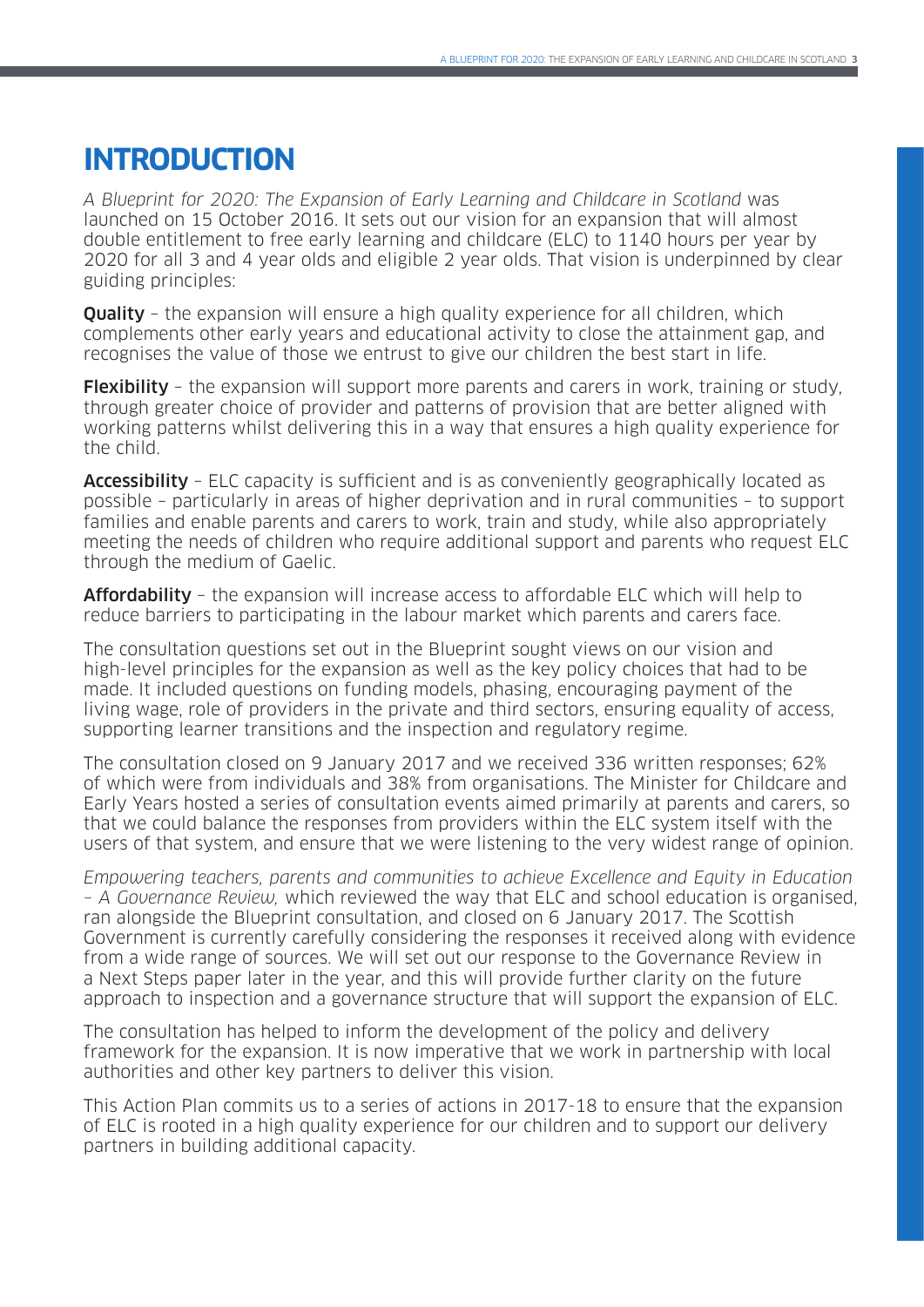# **INTRODUCTION**

A Blueprint for 2020: The Expansion of Early Learning and Childcare in Scotland was launched on 15 October 2016. It sets out our vision for an expansion that will almost double entitlement to free early learning and childcare (ELC) to 1140 hours per year by 2020 for all 3 and 4 year olds and eligible 2 year olds. That vision is underpinned by clear guiding principles:

**Quality** - the expansion will ensure a high quality experience for all children, which complements other early years and educational activity to close the attainment gap, and recognises the value of those we entrust to give our children the best start in life.

**Flexibility** – the expansion will support more parents and carers in work, training or study, through greater choice of provider and patterns of provision that are better aligned with working patterns whilst delivering this in a way that ensures a high quality experience for the child.

Accessibility - ELC capacity is sufficient and is as conveniently geographically located as possible – particularly in areas of higher deprivation and in rural communities – to support families and enable parents and carers to work, train and study, while also appropriately meeting the needs of children who require additional support and parents who request ELC through the medium of Gaelic.

Affordability - the expansion will increase access to affordable ELC which will help to reduce barriers to participating in the labour market which parents and carers face.

The consultation questions set out in the Blueprint sought views on our vision and high-level principles for the expansion as well as the key policy choices that had to be made. It included questions on funding models, phasing, encouraging payment of the living wage, role of providers in the private and third sectors, ensuring equality of access, supporting learner transitions and the inspection and regulatory regime.

The consultation closed on 9 January 2017 and we received 336 written responses; 62% of which were from individuals and 38% from organisations. The Minister for Childcare and Early Years hosted a series of consultation events aimed primarily at parents and carers, so that we could balance the responses from providers within the ELC system itself with the users of that system, and ensure that we were listening to the very widest range of opinion.

Empowering teachers, parents and communities to achieve Excellence and Equity in Education – A Governance Review, which reviewed the way that ELC and school education is organised, ran alongside the Blueprint consultation, and closed on 6 January 2017. The Scottish Government is currently carefully considering the responses it received along with evidence from a wide range of sources. We will set out our response to the Governance Review in a Next Steps paper later in the year, and this will provide further clarity on the future approach to inspection and a governance structure that will support the expansion of ELC.

The consultation has helped to inform the development of the policy and delivery framework for the expansion. It is now imperative that we work in partnership with local authorities and other key partners to deliver this vision.

This Action Plan commits us to a series of actions in 2017-18 to ensure that the expansion of ELC is rooted in a high quality experience for our children and to support our delivery partners in building additional capacity.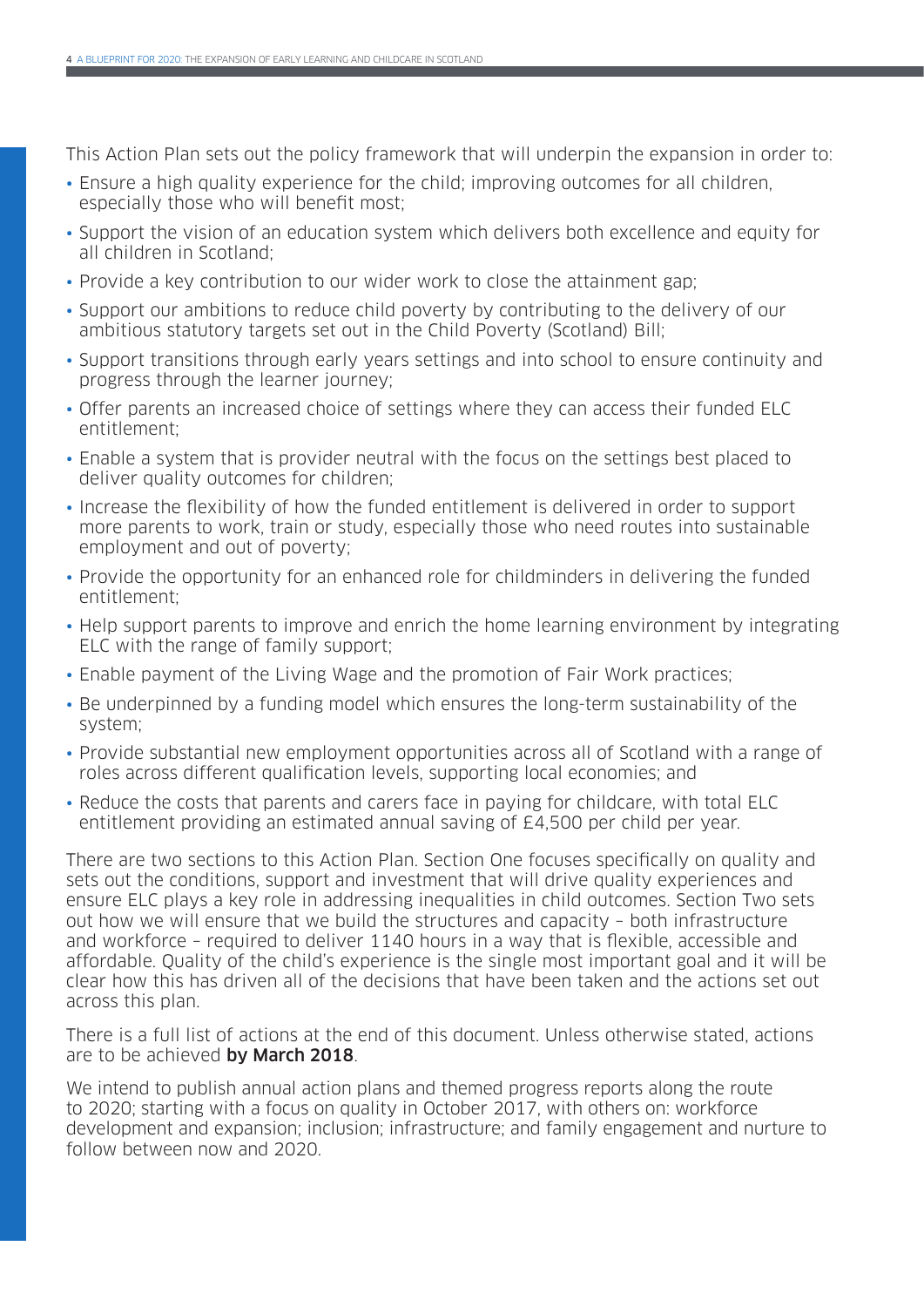This Action Plan sets out the policy framework that will underpin the expansion in order to:

- Ensure a high quality experience for the child; improving outcomes for all children, especially those who will benefit most;
- Support the vision of an education system which delivers both excellence and equity for all children in Scotland;
- Provide a key contribution to our wider work to close the attainment gap;
- Support our ambitions to reduce child poverty by contributing to the delivery of our ambitious statutory targets set out in the Child Poverty (Scotland) Bill;
- Support transitions through early years settings and into school to ensure continuity and progress through the learner journey;
- Offer parents an increased choice of settings where they can access their funded ELC entitlement;
- Enable a system that is provider neutral with the focus on the settings best placed to deliver quality outcomes for children;
- Increase the flexibility of how the funded entitlement is delivered in order to support more parents to work, train or study, especially those who need routes into sustainable employment and out of poverty;
- Provide the opportunity for an enhanced role for childminders in delivering the funded entitlement;
- Help support parents to improve and enrich the home learning environment by integrating ELC with the range of family support;
- Enable payment of the Living Wage and the promotion of Fair Work practices;
- Be underpinned by a funding model which ensures the long-term sustainability of the system;
- Provide substantial new employment opportunities across all of Scotland with a range of roles across different qualification levels, supporting local economies; and
- Reduce the costs that parents and carers face in paying for childcare, with total ELC entitlement providing an estimated annual saving of £4,500 per child per year.

There are two sections to this Action Plan. Section One focuses specifically on quality and sets out the conditions, support and investment that will drive quality experiences and ensure ELC plays a key role in addressing inequalities in child outcomes. Section Two sets out how we will ensure that we build the structures and capacity – both infrastructure and workforce – required to deliver 1140 hours in a way that is flexible, accessible and affordable. Quality of the child's experience is the single most important goal and it will be clear how this has driven all of the decisions that have been taken and the actions set out across this plan.

There is a full list of actions at the end of this document. Unless otherwise stated, actions are to be achieved by March 2018.

We intend to publish annual action plans and themed progress reports along the route to 2020; starting with a focus on quality in October 2017, with others on: workforce development and expansion; inclusion; infrastructure; and family engagement and nurture to follow between now and 2020.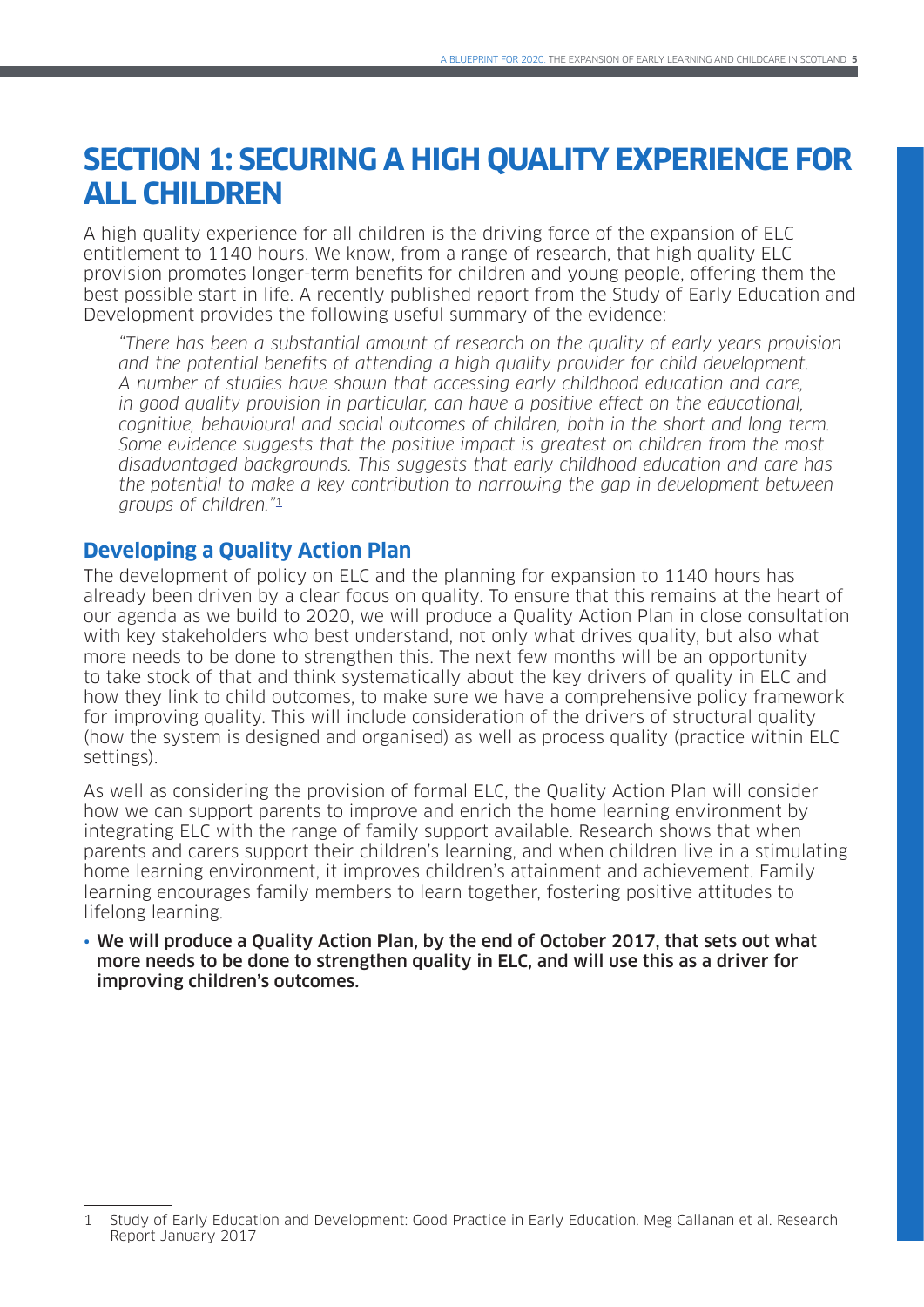# **SECTION 1: SECURING A HIGH QUALITY EXPERIENCE FOR ALL CHILDREN**

A high quality experience for all children is the driving force of the expansion of ELC entitlement to 1140 hours. We know, from a range of research, that high quality ELC provision promotes longer-term benefits for children and young people, offering them the best possible start in life. A recently published report from the Study of Early Education and Development provides the following useful summary of the evidence:

"There has been a substantial amount of research on the quality of early years provision and the potential benefits of attending a high quality provider for child development. A number of studies have shown that accessing early childhood education and care, in good quality provision in particular, can have a positive effect on the educational, cognitive, behavioural and social outcomes of children, both in the short and long term. Some evidence suggests that the positive impact is greatest on children from the most disadvantaged backgrounds. This suggests that early childhood education and care has the potential to make a key contribution to narrowing the gap in development between groups of children."<sup>1</sup>

# **Developing a Quality Action Plan**

The development of policy on ELC and the planning for expansion to 1140 hours has already been driven by a clear focus on quality. To ensure that this remains at the heart of our agenda as we build to 2020, we will produce a Quality Action Plan in close consultation with key stakeholders who best understand, not only what drives quality, but also what more needs to be done to strengthen this. The next few months will be an opportunity to take stock of that and think systematically about the key drivers of quality in ELC and how they link to child outcomes, to make sure we have a comprehensive policy framework for improving quality. This will include consideration of the drivers of structural quality (how the system is designed and organised) as well as process quality (practice within ELC settings).

As well as considering the provision of formal ELC, the Quality Action Plan will consider how we can support parents to improve and enrich the home learning environment by integrating ELC with the range of family support available. Research shows that when parents and carers support their children's learning, and when children live in a stimulating home learning environment, it improves children's attainment and achievement. Family learning encourages family members to learn together, fostering positive attitudes to lifelong learning.

• We will produce a Quality Action Plan, by the end of October 2017, that sets out what more needs to be done to strengthen quality in ELC, and will use this as a driver for improving children's outcomes.

<sup>1</sup> Study of Early Education and Development: Good Practice in Early Education. Meg Callanan et al. Research Report January 2017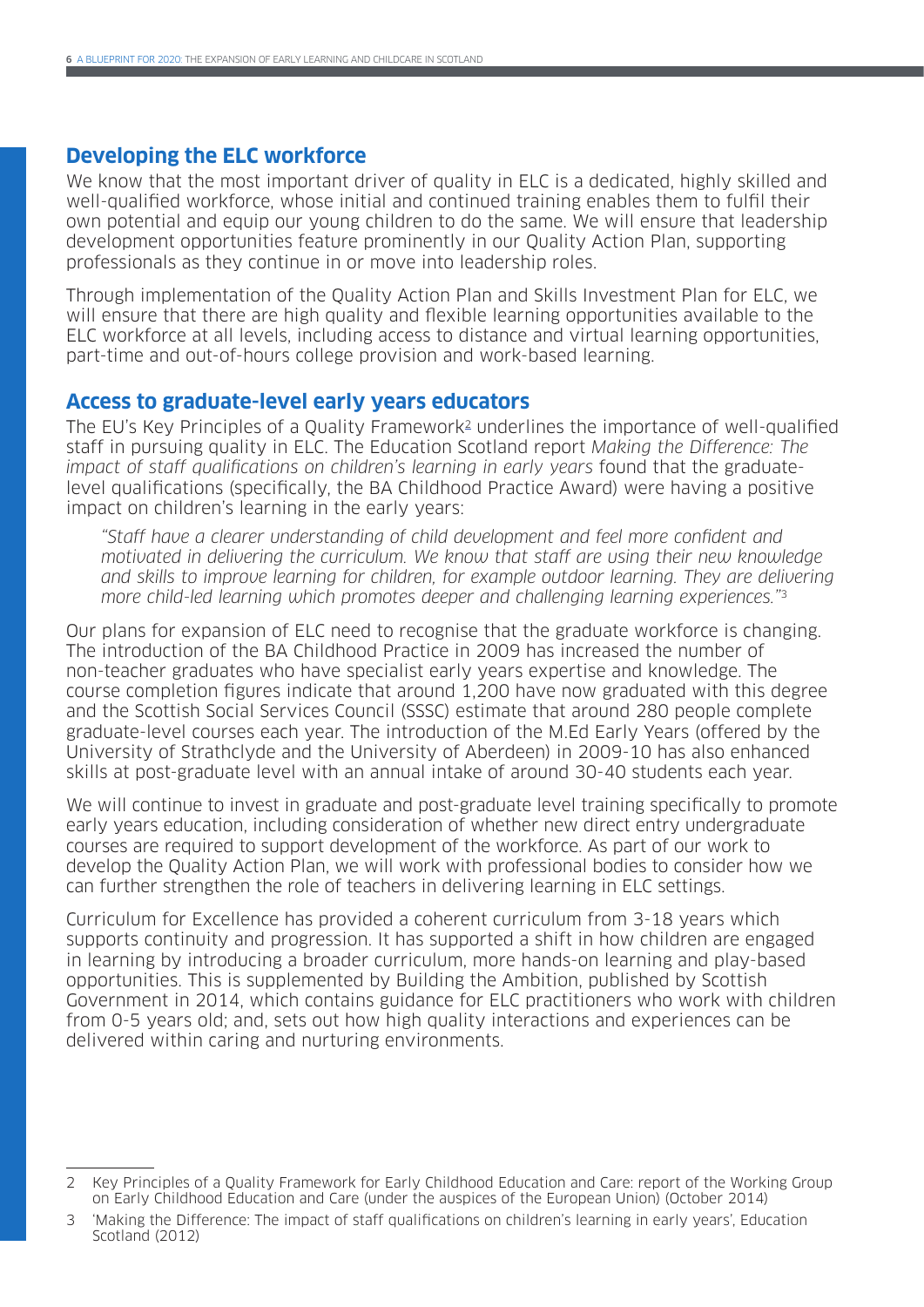### **Developing the ELC workforce**

We know that the most important driver of quality in ELC is a dedicated, highly skilled and well-qualified workforce, whose initial and continued training enables them to fulfil their own potential and equip our young children to do the same. We will ensure that leadership development opportunities feature prominently in our Quality Action Plan, supporting professionals as they continue in or move into leadership roles.

Through implementation of the Quality Action Plan and Skills Investment Plan for ELC, we will ensure that there are high quality and flexible learning opportunities available to the ELC workforce at all levels, including access to distance and virtual learning opportunities, part-time and out-of-hours college provision and work-based learning.

### **Access to graduate-level early years educators**

The EU's Key Principles of a Quality Framework<sup>2</sup> underlines the importance of well-qualified staff in pursuing quality in ELC. The Education Scotland report Making the Difference: The impact of staff qualifications on children's learning in early years found that the graduatelevel qualifications (specifically, the BA Childhood Practice Award) were having a positive impact on children's learning in the early years:

"Staff have a clearer understanding of child development and feel more confident and motivated in delivering the curriculum. We know that staff are using their new knowledge and skills to improve learning for children, for example outdoor learning. They are delivering more child-led learning which promotes deeper and challenging learning experiences."<sup>3</sup>

Our plans for expansion of ELC need to recognise that the graduate workforce is changing. The introduction of the BA Childhood Practice in 2009 has increased the number of non-teacher graduates who have specialist early years expertise and knowledge. The course completion figures indicate that around 1,200 have now graduated with this degree and the Scottish Social Services Council (SSSC) estimate that around 280 people complete graduate-level courses each year. The introduction of the M.Ed Early Years (offered by the University of Strathclyde and the University of Aberdeen) in 2009-10 has also enhanced skills at post-graduate level with an annual intake of around 30-40 students each year.

We will continue to invest in graduate and post-graduate level training specifically to promote early years education, including consideration of whether new direct entry undergraduate courses are required to support development of the workforce. As part of our work to develop the Quality Action Plan, we will work with professional bodies to consider how we can further strengthen the role of teachers in delivering learning in ELC settings.

Curriculum for Excellence has provided a coherent curriculum from 3-18 years which supports continuity and progression. It has supported a shift in how children are engaged in learning by introducing a broader curriculum, more hands-on learning and play-based opportunities. This is supplemented by Building the Ambition, published by Scottish Government in 2014, which contains guidance for ELC practitioners who work with children from 0-5 years old; and, sets out how high quality interactions and experiences can be delivered within caring and nurturing environments.

<sup>2</sup> Key Principles of a Quality Framework for Early Childhood Education and Care: report of the Working Group on Early Childhood Education and Care (under the auspices of the European Union) (October 2014)

<sup>3</sup> 'Making the Difference: The impact of staff qualifications on children's learning in early years', Education Scotland (2012)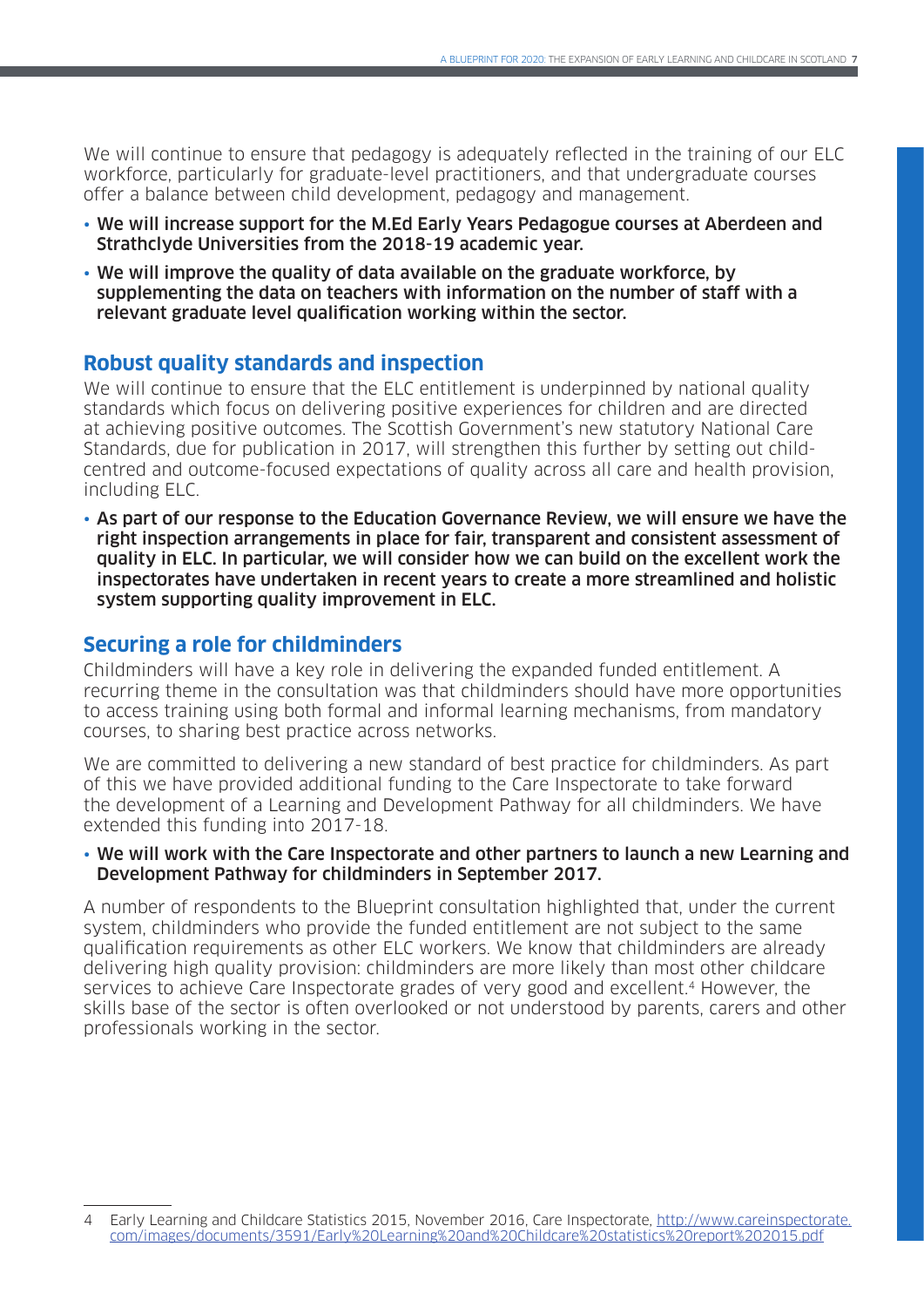We will continue to ensure that pedagogy is adequately reflected in the training of our ELC workforce, particularly for graduate-level practitioners, and that undergraduate courses offer a balance between child development, pedagogy and management.

- We will increase support for the M.Ed Early Years Pedagogue courses at Aberdeen and Strathclyde Universities from the 2018-19 academic year.
- We will improve the quality of data available on the graduate workforce, by supplementing the data on teachers with information on the number of staff with a relevant graduate level qualification working within the sector.

### **Robust quality standards and inspection**

We will continue to ensure that the ELC entitlement is underpinned by national quality standards which focus on delivering positive experiences for children and are directed at achieving positive outcomes. The Scottish Government's new statutory National Care Standards, due for publication in 2017, will strengthen this further by setting out childcentred and outcome-focused expectations of quality across all care and health provision, including ELC.

• As part of our response to the Education Governance Review, we will ensure we have the right inspection arrangements in place for fair, transparent and consistent assessment of quality in ELC. In particular, we will consider how we can build on the excellent work the inspectorates have undertaken in recent years to create a more streamlined and holistic system supporting quality improvement in ELC.

### **Securing a role for childminders**

Childminders will have a key role in delivering the expanded funded entitlement. A recurring theme in the consultation was that childminders should have more opportunities to access training using both formal and informal learning mechanisms, from mandatory courses, to sharing best practice across networks.

We are committed to delivering a new standard of best practice for childminders. As part of this we have provided additional funding to the Care Inspectorate to take forward the development of a Learning and Development Pathway for all childminders. We have extended this funding into 2017-18.

#### • We will work with the Care Inspectorate and other partners to launch a new Learning and Development Pathway for childminders in September 2017.

A number of respondents to the Blueprint consultation highlighted that, under the current system, childminders who provide the funded entitlement are not subject to the same qualification requirements as other ELC workers. We know that childminders are already delivering high quality provision: childminders are more likely than most other childcare services to achieve Care Inspectorate grades of very good and excellent.<sup>4</sup> However, the skills base of the sector is often overlooked or not understood by parents, carers and other professionals working in the sector.

<sup>4</sup> Early Learning and Childcare Statistics 2015, November 2016, Care Inspectorate, [http://www.careinspectorate.](http://www.careinspectorate.com/images/documents/3591/Early%20Learning%20and%20Childcare%20statistics%20report%202015.pdf) [com/images/documents/3591/Early%20Learning%20and%20Childcare%20statistics%20report%202015.pdf](http://www.careinspectorate.com/images/documents/3591/Early%20Learning%20and%20Childcare%20statistics%20report%202015.pdf)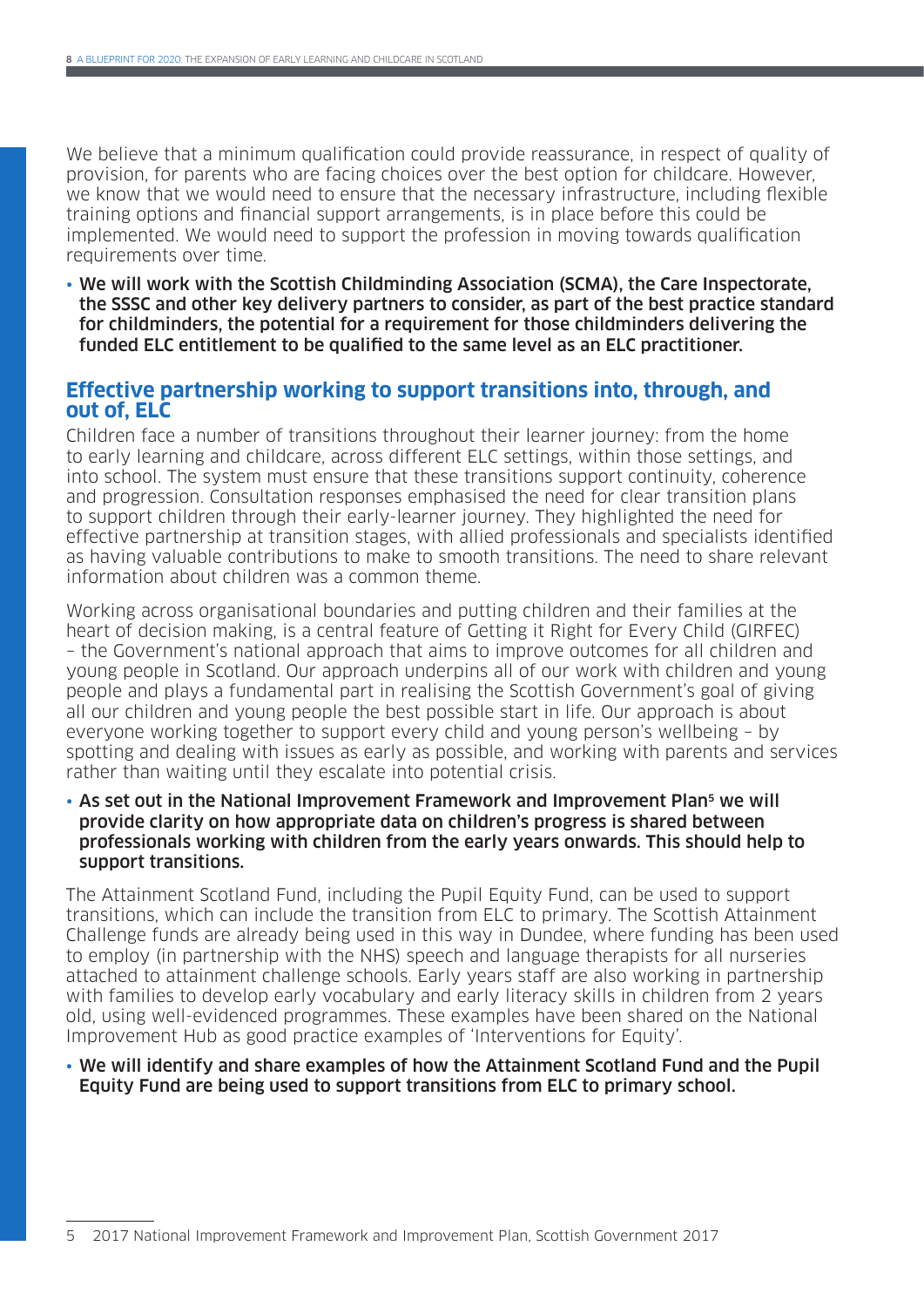We believe that a minimum qualification could provide reassurance, in respect of quality of provision, for parents who are facing choices over the best option for childcare. However, we know that we would need to ensure that the necessary infrastructure, including flexible training options and financial support arrangements, is in place before this could be implemented. We would need to support the profession in moving towards qualification requirements over time.

• We will work with the Scottish Childminding Association (SCMA), the Care Inspectorate, the SSSC and other key delivery partners to consider, as part of the best practice standard for childminders, the potential for a requirement for those childminders delivering the funded ELC entitlement to be qualified to the same level as an ELC practitioner.

### **Effective partnership working to support transitions into, through, and out of, ELC**

Children face a number of transitions throughout their learner journey: from the home to early learning and childcare, across different ELC settings, within those settings, and into school. The system must ensure that these transitions support continuity, coherence and progression. Consultation responses emphasised the need for clear transition plans to support children through their early-learner journey. They highlighted the need for effective partnership at transition stages, with allied professionals and specialists identified as having valuable contributions to make to smooth transitions. The need to share relevant information about children was a common theme.

Working across organisational boundaries and putting children and their families at the heart of decision making, is a central feature of Getting it Right for Every Child (GIRFEC) – the Government's national approach that aims to improve outcomes for all children and young people in Scotland. Our approach underpins all of our work with children and young people and plays a fundamental part in realising the Scottish Government's goal of giving all our children and young people the best possible start in life. Our approach is about everyone working together to support every child and young person's wellbeing – by spotting and dealing with issues as early as possible, and working with parents and services rather than waiting until they escalate into potential crisis.

• As set out in the National Improvement Framework and Improvement Plan<sup>5</sup> we will provide clarity on how appropriate data on children's progress is shared between professionals working with children from the early years onwards. This should help to support transitions.

The Attainment Scotland Fund, including the Pupil Equity Fund, can be used to support transitions, which can include the transition from ELC to primary. The Scottish Attainment Challenge funds are already being used in this way in Dundee, where funding has been used to employ (in partnership with the NHS) speech and language therapists for all nurseries attached to attainment challenge schools. Early years staff are also working in partnership with families to develop early vocabulary and early literacy skills in children from 2 years old, using well-evidenced programmes. These examples have been shared on the National Improvement Hub as good practice examples of 'Interventions for Equity'.

#### • We will identify and share examples of how the Attainment Scotland Fund and the Pupil Equity Fund are being used to support transitions from ELC to primary school.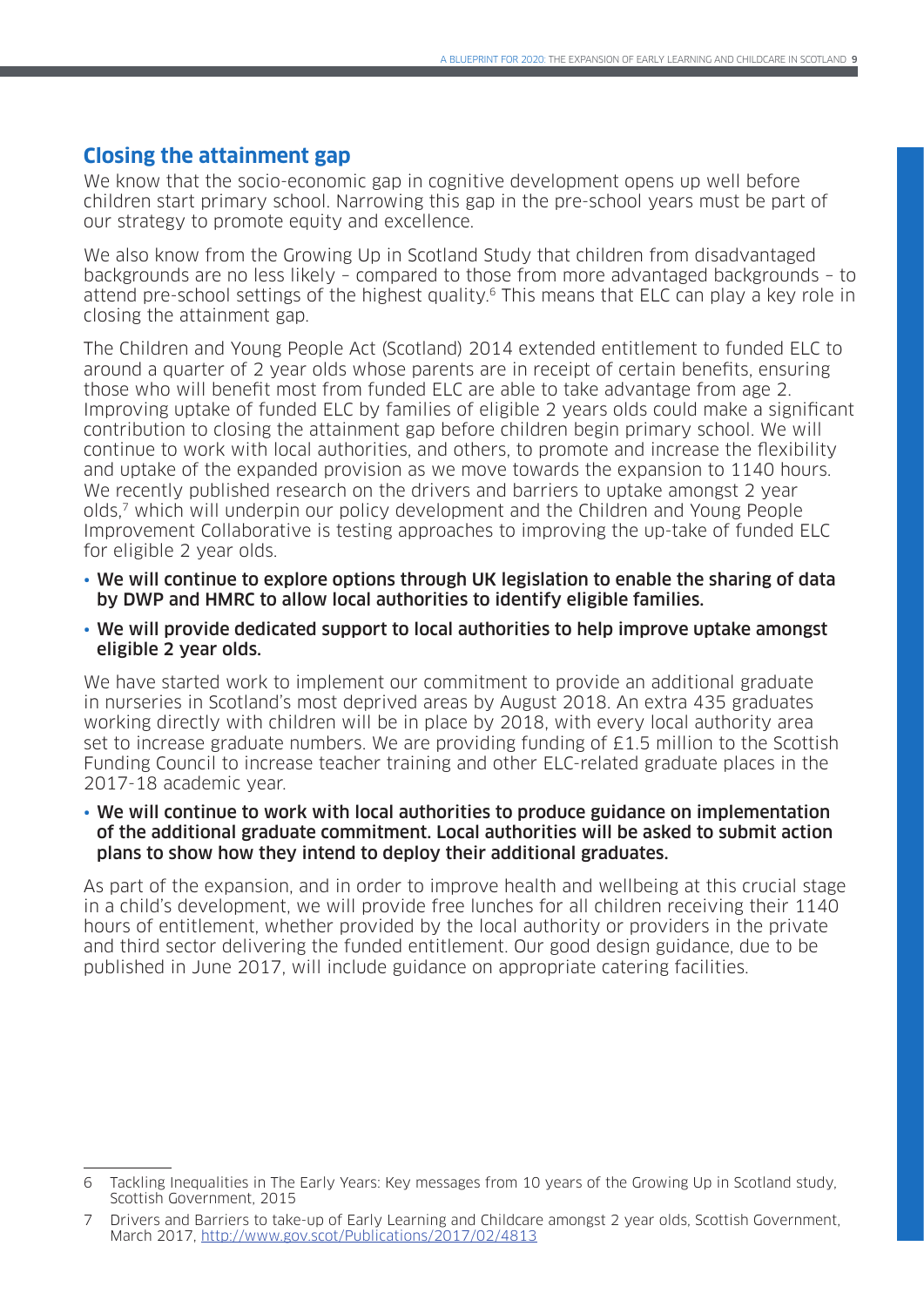### **Closing the attainment gap**

We know that the socio-economic gap in cognitive development opens up well before children start primary school. Narrowing this gap in the pre-school years must be part of our strategy to promote equity and excellence.

We also know from the Growing Up in Scotland Study that children from disadvantaged backgrounds are no less likely – compared to those from more advantaged backgrounds – to attend pre-school settings of the highest quality.<sup>6</sup> This means that ELC can play a key role in closing the attainment gap.

The Children and Young People Act (Scotland) 2014 extended entitlement to funded ELC to around a quarter of 2 year olds whose parents are in receipt of certain benefits, ensuring those who will benefit most from funded ELC are able to take advantage from age 2. Improving uptake of funded ELC by families of eligible 2 years olds could make a significant contribution to closing the attainment gap before children begin primary school. We will continue to work with local authorities, and others, to promote and increase the flexibility and uptake of the expanded provision as we move towards the expansion to 1140 hours. We recently published research on the drivers and barriers to uptake amongst 2 year olds,7 which will underpin our policy development and the Children and Young People Improvement Collaborative is testing approaches to improving the up-take of funded ELC for eligible 2 year olds.

- We will continue to explore options through UK legislation to enable the sharing of data by DWP and HMRC to allow local authorities to identify eligible families.
- We will provide dedicated support to local authorities to help improve uptake amongst eligible 2 year olds.

We have started work to implement our commitment to provide an additional graduate in nurseries in Scotland's most deprived areas by August 2018. An extra 435 graduates working directly with children will be in place by 2018, with every local authority area set to increase graduate numbers. We are providing funding of £1.5 million to the Scottish Funding Council to increase teacher training and other ELC-related graduate places in the 2017-18 academic year.

#### • We will continue to work with local authorities to produce guidance on implementation of the additional graduate commitment. Local authorities will be asked to submit action plans to show how they intend to deploy their additional graduates.

As part of the expansion, and in order to improve health and wellbeing at this crucial stage in a child's development, we will provide free lunches for all children receiving their 1140 hours of entitlement, whether provided by the local authority or providers in the private and third sector delivering the funded entitlement. Our good design guidance, due to be published in June 2017, will include guidance on appropriate catering facilities.

<sup>6</sup> Tackling Inequalities in The Early Years: Key messages from 10 years of the Growing Up in Scotland study, Scottish Government, 2015

<sup>7</sup> Drivers and Barriers to take-up of Early Learning and Childcare amongst 2 year olds, Scottish Government, March 2017, <http://www.gov.scot/Publications/2017/02/4813>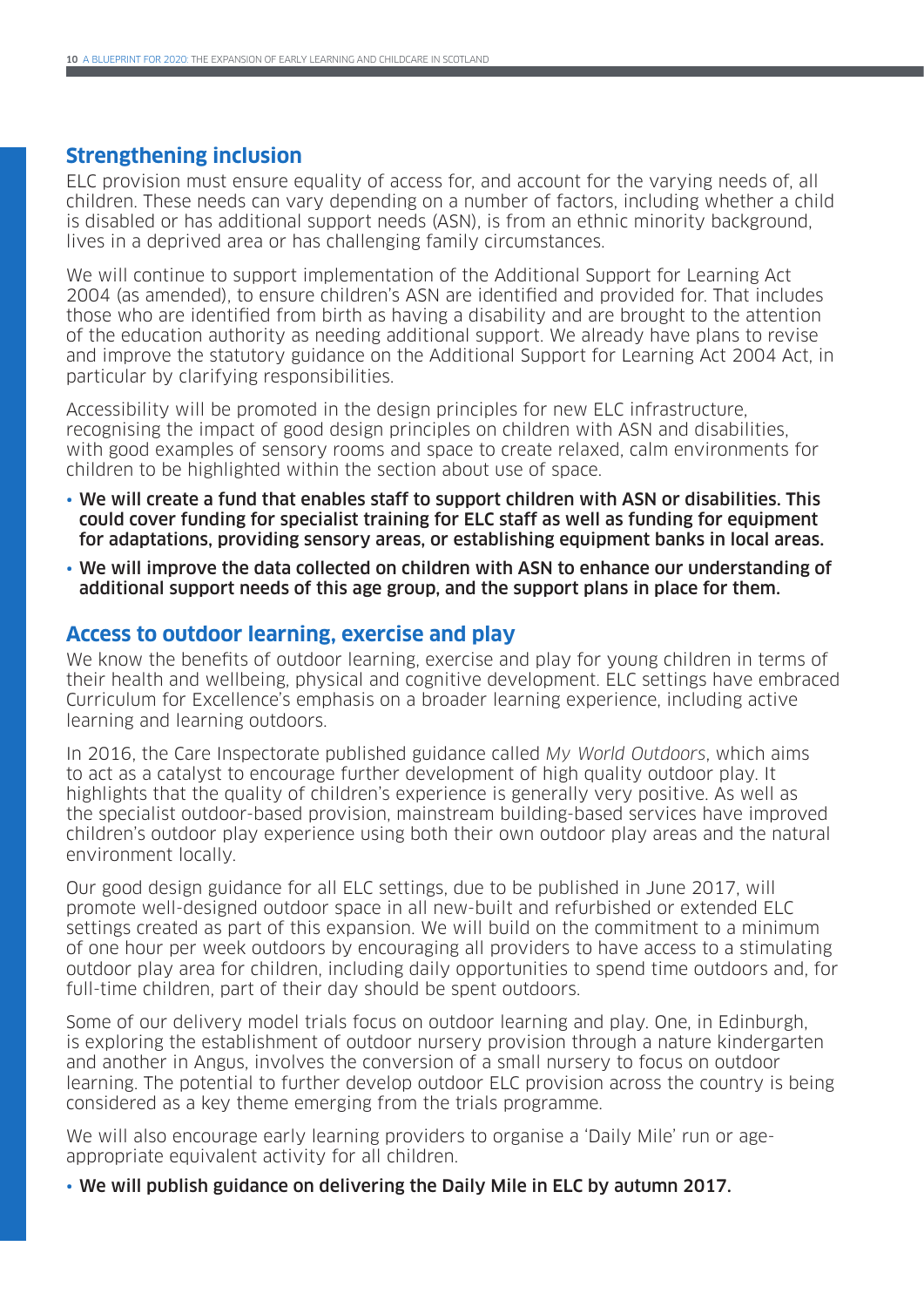### **Strengthening inclusion**

ELC provision must ensure equality of access for, and account for the varying needs of, all children. These needs can vary depending on a number of factors, including whether a child is disabled or has additional support needs (ASN), is from an ethnic minority background, lives in a deprived area or has challenging family circumstances.

We will continue to support implementation of the Additional Support for Learning Act 2004 (as amended), to ensure children's ASN are identified and provided for. That includes those who are identified from birth as having a disability and are brought to the attention of the education authority as needing additional support. We already have plans to revise and improve the statutory guidance on the Additional Support for Learning Act 2004 Act, in particular by clarifying responsibilities.

Accessibility will be promoted in the design principles for new ELC infrastructure, recognising the impact of good design principles on children with ASN and disabilities, with good examples of sensory rooms and space to create relaxed, calm environments for children to be highlighted within the section about use of space.

- We will create a fund that enables staff to support children with ASN or disabilities. This could cover funding for specialist training for ELC staff as well as funding for equipment for adaptations, providing sensory areas, or establishing equipment banks in local areas.
- We will improve the data collected on children with ASN to enhance our understanding of additional support needs of this age group, and the support plans in place for them.

#### **Access to outdoor learning, exercise and play**

We know the benefits of outdoor learning, exercise and play for young children in terms of their health and wellbeing, physical and cognitive development. ELC settings have embraced Curriculum for Excellence's emphasis on a broader learning experience, including active learning and learning outdoors.

In 2016, the Care Inspectorate published guidance called My World Outdoors, which aims to act as a catalyst to encourage further development of high quality outdoor play. It highlights that the quality of children's experience is generally very positive. As well as the specialist outdoor-based provision, mainstream building-based services have improved children's outdoor play experience using both their own outdoor play areas and the natural environment locally.

Our good design guidance for all ELC settings, due to be published in June 2017, will promote well-designed outdoor space in all new-built and refurbished or extended ELC settings created as part of this expansion. We will build on the commitment to a minimum of one hour per week outdoors by encouraging all providers to have access to a stimulating outdoor play area for children, including daily opportunities to spend time outdoors and, for full-time children, part of their day should be spent outdoors.

Some of our delivery model trials focus on outdoor learning and play. One, in Edinburgh, is exploring the establishment of outdoor nursery provision through a nature kindergarten and another in Angus, involves the conversion of a small nursery to focus on outdoor learning. The potential to further develop outdoor ELC provision across the country is being considered as a key theme emerging from the trials programme.

We will also encourage early learning providers to organise a 'Daily Mile' run or ageappropriate equivalent activity for all children.

• We will publish guidance on delivering the Daily Mile in ELC by autumn 2017.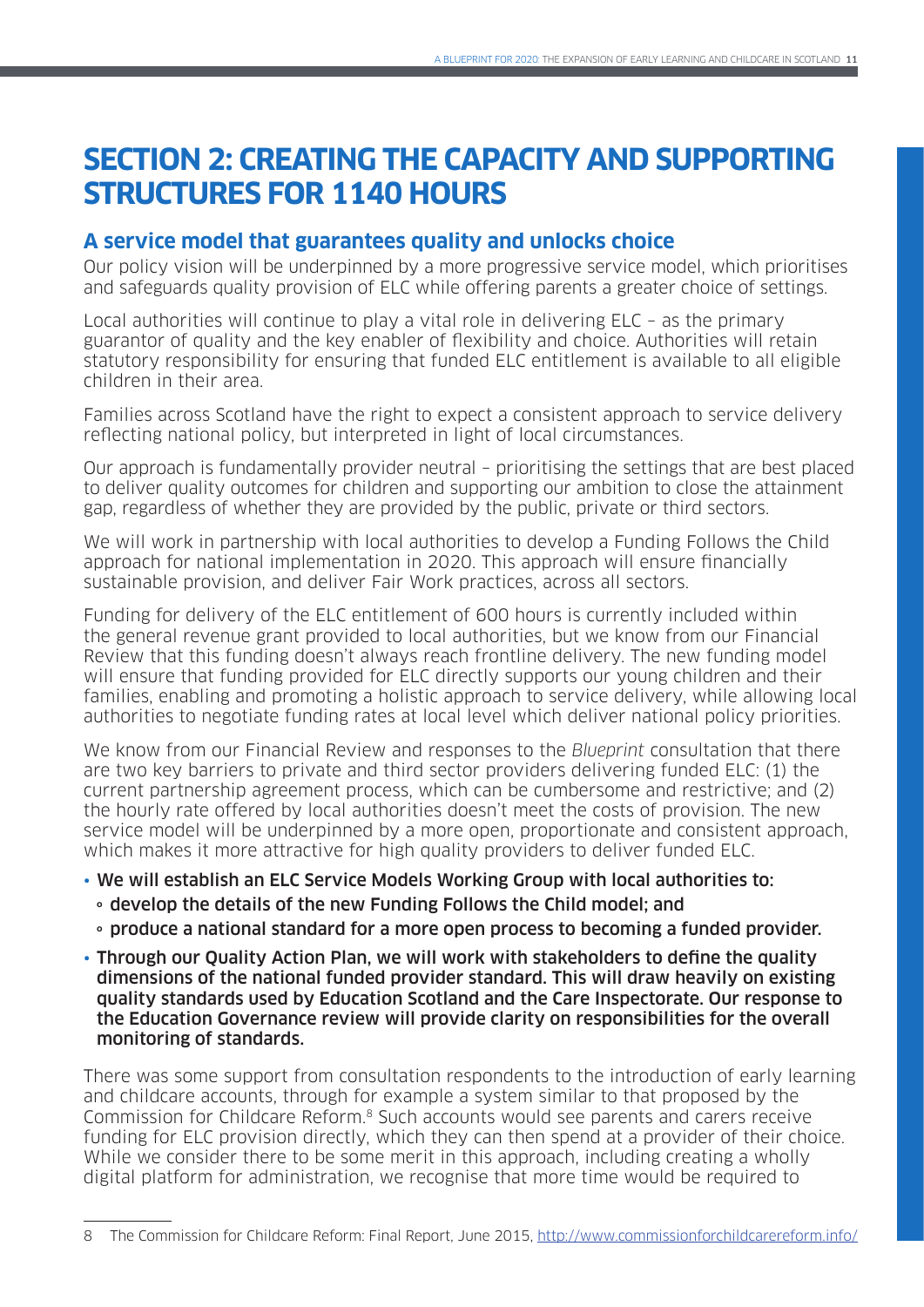# **SECTION 2: CREATING THE CAPACITY AND SUPPORTING STRUCTURES FOR 1140 HOURS**

## **A service model that guarantees quality and unlocks choice**

Our policy vision will be underpinned by a more progressive service model, which prioritises and safeguards quality provision of ELC while offering parents a greater choice of settings.

Local authorities will continue to play a vital role in delivering ELC – as the primary guarantor of quality and the key enabler of flexibility and choice. Authorities will retain statutory responsibility for ensuring that funded ELC entitlement is available to all eligible children in their area.

Families across Scotland have the right to expect a consistent approach to service delivery reflecting national policy, but interpreted in light of local circumstances.

Our approach is fundamentally provider neutral – prioritising the settings that are best placed to deliver quality outcomes for children and supporting our ambition to close the attainment gap, regardless of whether they are provided by the public, private or third sectors.

We will work in partnership with local authorities to develop a Funding Follows the Child approach for national implementation in 2020. This approach will ensure financially sustainable provision, and deliver Fair Work practices, across all sectors.

Funding for delivery of the ELC entitlement of 600 hours is currently included within the general revenue grant provided to local authorities, but we know from our Financial Review that this funding doesn't always reach frontline delivery. The new funding model will ensure that funding provided for ELC directly supports our young children and their families, enabling and promoting a holistic approach to service delivery, while allowing local authorities to negotiate funding rates at local level which deliver national policy priorities.

We know from our Financial Review and responses to the Blueprint consultation that there are two key barriers to private and third sector providers delivering funded ELC: (1) the current partnership agreement process, which can be cumbersome and restrictive; and (2) the hourly rate offered by local authorities doesn't meet the costs of provision. The new service model will be underpinned by a more open, proportionate and consistent approach, which makes it more attractive for high quality providers to deliver funded ELC.

### • We will establish an ELC Service Models Working Group with local authorities to:

- **<sup>o</sup>** develop the details of the new Funding Follows the Child model; and
- **<sup>o</sup>** produce a national standard for a more open process to becoming a funded provider.
- Through our Quality Action Plan, we will work with stakeholders to define the quality dimensions of the national funded provider standard. This will draw heavily on existing quality standards used by Education Scotland and the Care Inspectorate. Our response to the Education Governance review will provide clarity on responsibilities for the overall monitoring of standards.

There was some support from consultation respondents to the introduction of early learning and childcare accounts, through for example a system similar to that proposed by the Commission for Childcare Reform.8 Such accounts would see parents and carers receive funding for ELC provision directly, which they can then spend at a provider of their choice. While we consider there to be some merit in this approach, including creating a wholly digital platform for administration, we recognise that more time would be required to

<sup>8</sup> The Commission for Childcare Reform: Final Report, June 2015,<http://www.commissionforchildcarereform.info/>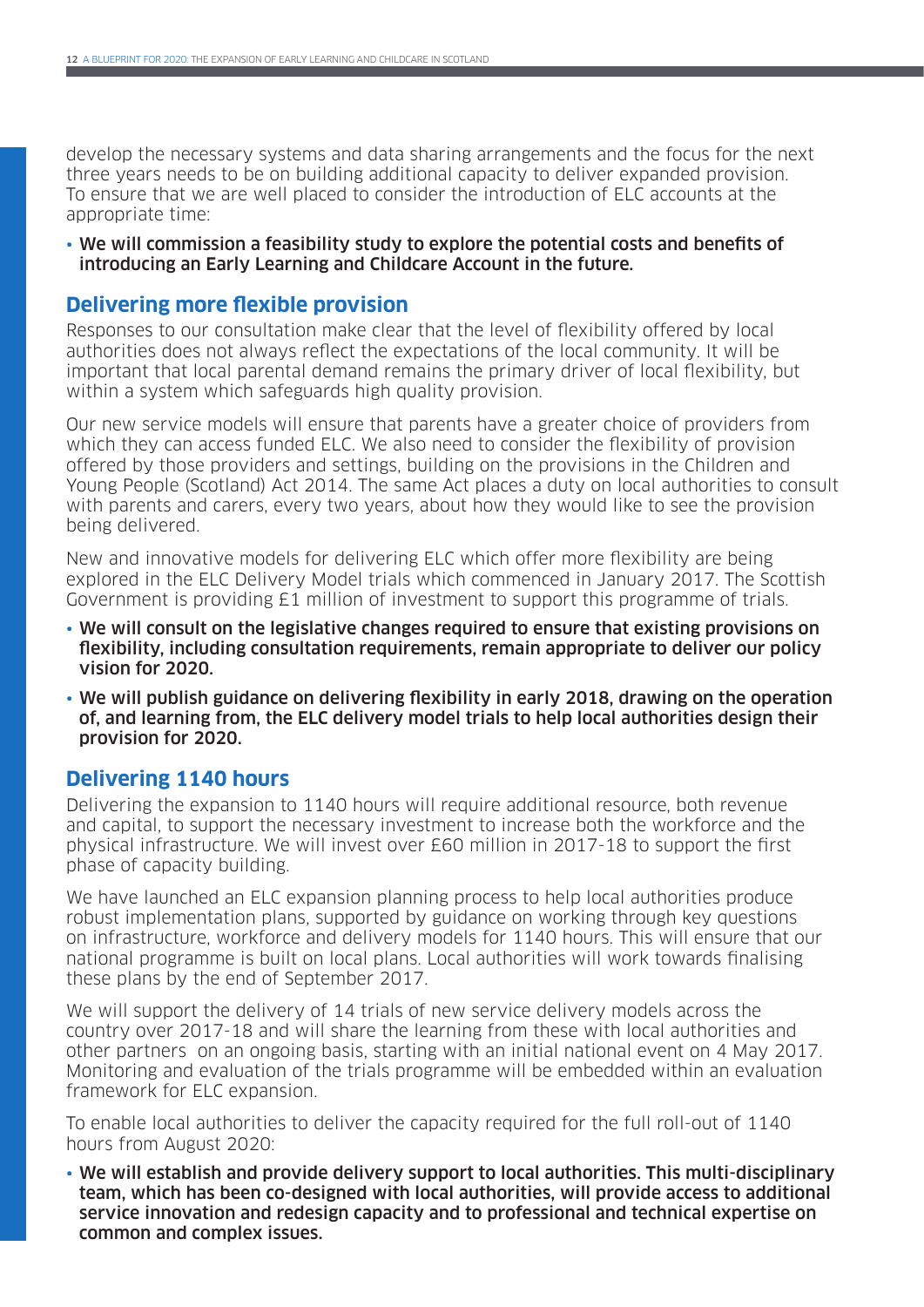develop the necessary systems and data sharing arrangements and the focus for the next three years needs to be on building additional capacity to deliver expanded provision. To ensure that we are well placed to consider the introduction of ELC accounts at the appropriate time:

• We will commission a feasibility study to explore the potential costs and benefits of introducing an Early Learning and Childcare Account in the future.

### **Delivering more flexible provision**

Responses to our consultation make clear that the level of flexibility offered by local authorities does not always reflect the expectations of the local community. It will be important that local parental demand remains the primary driver of local flexibility, but within a system which safeguards high quality provision.

Our new service models will ensure that parents have a greater choice of providers from which they can access funded ELC. We also need to consider the flexibility of provision offered by those providers and settings, building on the provisions in the Children and Young People (Scotland) Act 2014. The same Act places a duty on local authorities to consult with parents and carers, every two years, about how they would like to see the provision being delivered.

New and innovative models for delivering ELC which offer more flexibility are being explored in the ELC Delivery Model trials which commenced in January 2017. The Scottish Government is providing £1 million of investment to support this programme of trials.

- We will consult on the legislative changes required to ensure that existing provisions on flexibility, including consultation requirements, remain appropriate to deliver our policy vision for 2020.
- We will publish guidance on delivering flexibility in early 2018, drawing on the operation of, and learning from, the ELC delivery model trials to help local authorities design their provision for 2020.

### **Delivering 1140 hours**

Delivering the expansion to 1140 hours will require additional resource, both revenue and capital, to support the necessary investment to increase both the workforce and the physical infrastructure. We will invest over £60 million in 2017-18 to support the first phase of capacity building.

We have launched an ELC expansion planning process to help local authorities produce robust implementation plans, supported by guidance on working through key questions on infrastructure, workforce and delivery models for 1140 hours. This will ensure that our national programme is built on local plans. Local authorities will work towards finalising these plans by the end of September 2017.

We will support the delivery of 14 trials of new service delivery models across the country over 2017-18 and will share the learning from these with local authorities and other partners on an ongoing basis, starting with an initial national event on 4 May 2017. Monitoring and evaluation of the trials programme will be embedded within an evaluation framework for ELC expansion.

To enable local authorities to deliver the capacity required for the full roll-out of 1140 hours from August 2020:

• We will establish and provide delivery support to local authorities. This multi-disciplinary team, which has been co-designed with local authorities, will provide access to additional service innovation and redesign capacity and to professional and technical expertise on common and complex issues.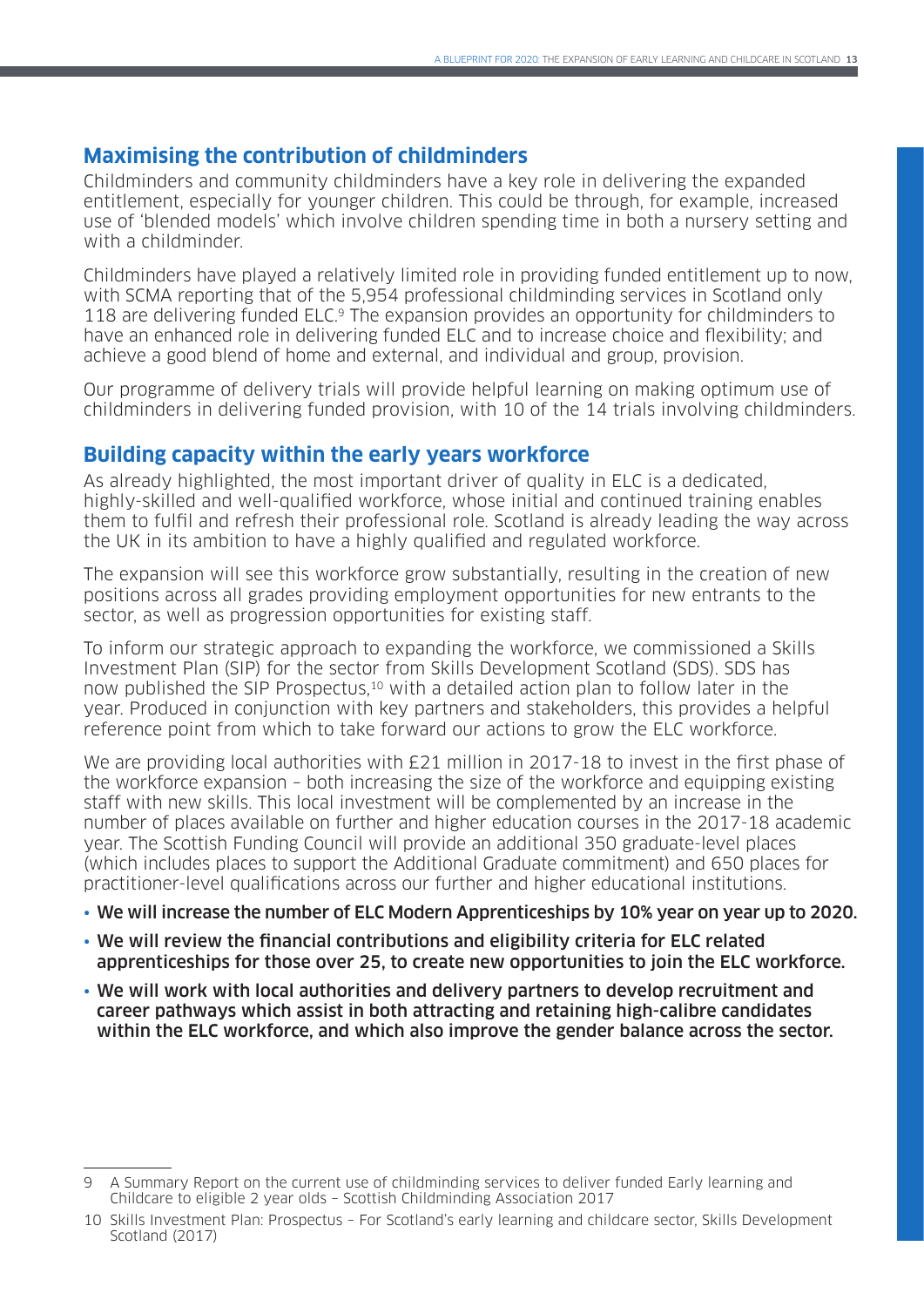## **Maximising the contribution of childminders**

Childminders and community childminders have a key role in delivering the expanded entitlement, especially for younger children. This could be through, for example, increased use of 'blended models' which involve children spending time in both a nursery setting and with a childminder.

Childminders have played a relatively limited role in providing funded entitlement up to now, with SCMA reporting that of the 5,954 professional childminding services in Scotland only 118 are delivering funded ELC.<sup>9</sup> The expansion provides an opportunity for childminders to have an enhanced role in delivering funded ELC and to increase choice and flexibility; and achieve a good blend of home and external, and individual and group, provision.

Our programme of delivery trials will provide helpful learning on making optimum use of childminders in delivering funded provision, with 10 of the 14 trials involving childminders.

### **Building capacity within the early years workforce**

As already highlighted, the most important driver of quality in ELC is a dedicated, highly-skilled and well-qualified workforce, whose initial and continued training enables them to fulfil and refresh their professional role. Scotland is already leading the way across the UK in its ambition to have a highly qualified and regulated workforce.

The expansion will see this workforce grow substantially, resulting in the creation of new positions across all grades providing employment opportunities for new entrants to the sector, as well as progression opportunities for existing staff.

To inform our strategic approach to expanding the workforce, we commissioned a Skills Investment Plan (SIP) for the sector from Skills Development Scotland (SDS). SDS has now published the SIP Prospectus,<sup>10</sup> with a detailed action plan to follow later in the year. Produced in conjunction with key partners and stakeholders, this provides a helpful reference point from which to take forward our actions to grow the ELC workforce.

We are providing local authorities with £21 million in 2017-18 to invest in the first phase of the workforce expansion – both increasing the size of the workforce and equipping existing staff with new skills. This local investment will be complemented by an increase in the number of places available on further and higher education courses in the 2017-18 academic year. The Scottish Funding Council will provide an additional 350 graduate-level places (which includes places to support the Additional Graduate commitment) and 650 places for practitioner-level qualifications across our further and higher educational institutions.

- We will increase the number of ELC Modern Apprenticeships by 10% year on year up to 2020.
- We will review the financial contributions and eligibility criteria for ELC related apprenticeships for those over 25, to create new opportunities to join the ELC workforce.
- We will work with local authorities and delivery partners to develop recruitment and career pathways which assist in both attracting and retaining high-calibre candidates within the ELC workforce, and which also improve the gender balance across the sector.

<sup>9</sup> A Summary Report on the current use of childminding services to deliver funded Early learning and Childcare to eligible 2 year olds – Scottish Childminding Association 2017

<sup>10</sup> Skills Investment Plan: Prospectus – For Scotland's early learning and childcare sector, Skills Development Scotland (2017)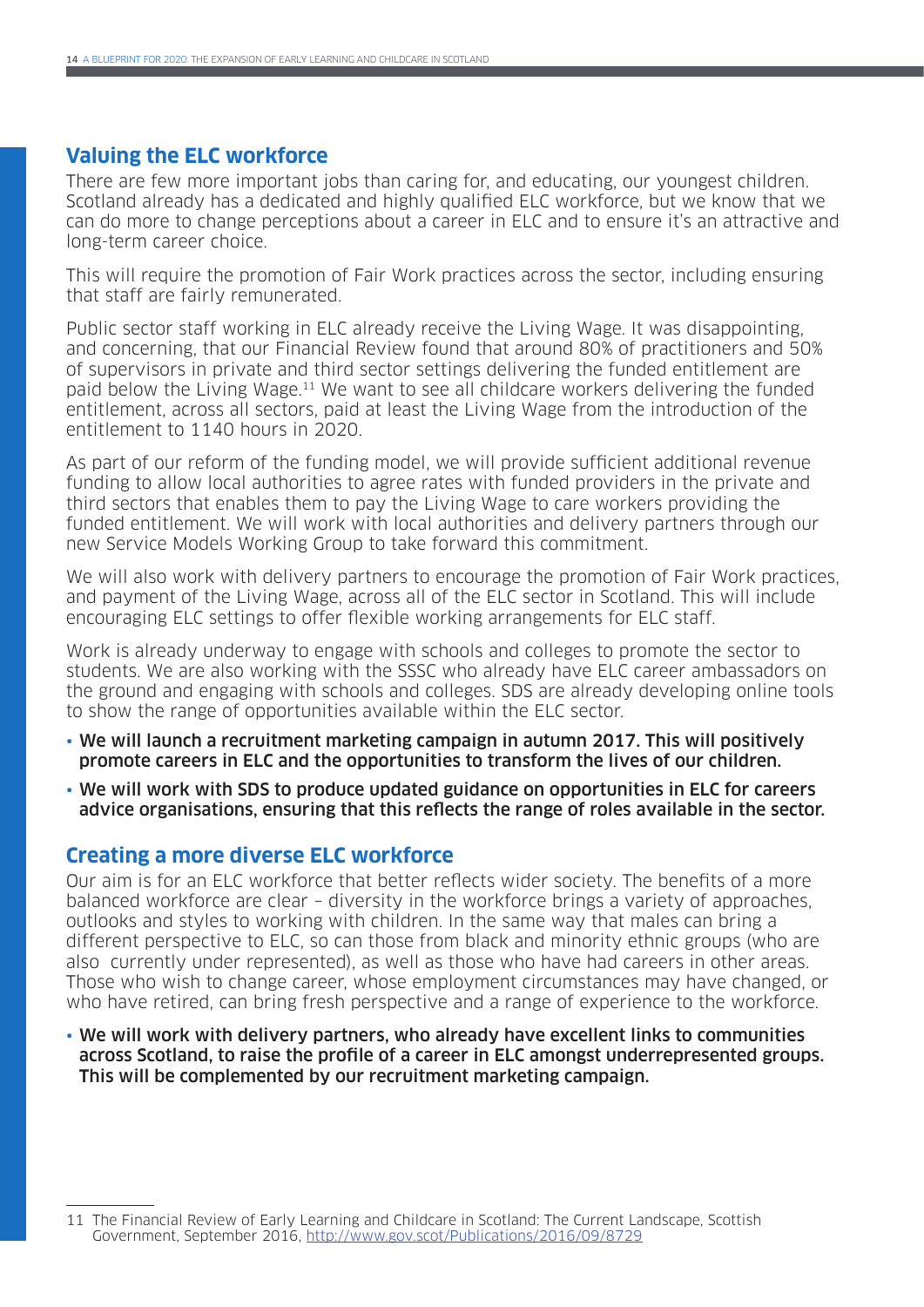### **Valuing the ELC workforce**

There are few more important jobs than caring for, and educating, our youngest children. Scotland already has a dedicated and highly qualified ELC workforce, but we know that we can do more to change perceptions about a career in ELC and to ensure it's an attractive and long-term career choice.

This will require the promotion of Fair Work practices across the sector, including ensuring that staff are fairly remunerated.

Public sector staff working in ELC already receive the Living Wage. It was disappointing, and concerning, that our Financial Review found that around 80% of practitioners and 50% of supervisors in private and third sector settings delivering the funded entitlement are paid below the Living Wage.11 We want to see all childcare workers delivering the funded entitlement, across all sectors, paid at least the Living Wage from the introduction of the entitlement to 1140 hours in 2020.

As part of our reform of the funding model, we will provide sufficient additional revenue funding to allow local authorities to agree rates with funded providers in the private and third sectors that enables them to pay the Living Wage to care workers providing the funded entitlement. We will work with local authorities and delivery partners through our new Service Models Working Group to take forward this commitment.

We will also work with delivery partners to encourage the promotion of Fair Work practices, and payment of the Living Wage, across all of the ELC sector in Scotland. This will include encouraging ELC settings to offer flexible working arrangements for ELC staff.

Work is already underway to engage with schools and colleges to promote the sector to students. We are also working with the SSSC who already have ELC career ambassadors on the ground and engaging with schools and colleges. SDS are already developing online tools to show the range of opportunities available within the ELC sector.

- We will launch a recruitment marketing campaign in autumn 2017. This will positively promote careers in ELC and the opportunities to transform the lives of our children.
- We will work with SDS to produce updated guidance on opportunities in ELC for careers advice organisations, ensuring that this reflects the range of roles available in the sector.

### **Creating a more diverse ELC workforce**

Our aim is for an ELC workforce that better reflects wider society. The benefits of a more balanced workforce are clear – diversity in the workforce brings a variety of approaches, outlooks and styles to working with children. In the same way that males can bring a different perspective to ELC, so can those from black and minority ethnic groups (who are also currently under represented), as well as those who have had careers in other areas. Those who wish to change career, whose employment circumstances may have changed, or who have retired, can bring fresh perspective and a range of experience to the workforce.

• We will work with delivery partners, who already have excellent links to communities across Scotland, to raise the profile of a career in ELC amongst underrepresented groups. This will be complemented by our recruitment marketing campaign.

<sup>11</sup> The Financial Review of Early Learning and Childcare in Scotland: The Current Landscape, Scottish Government, September 2016,<http://www.gov.scot/Publications/2016/09/8729>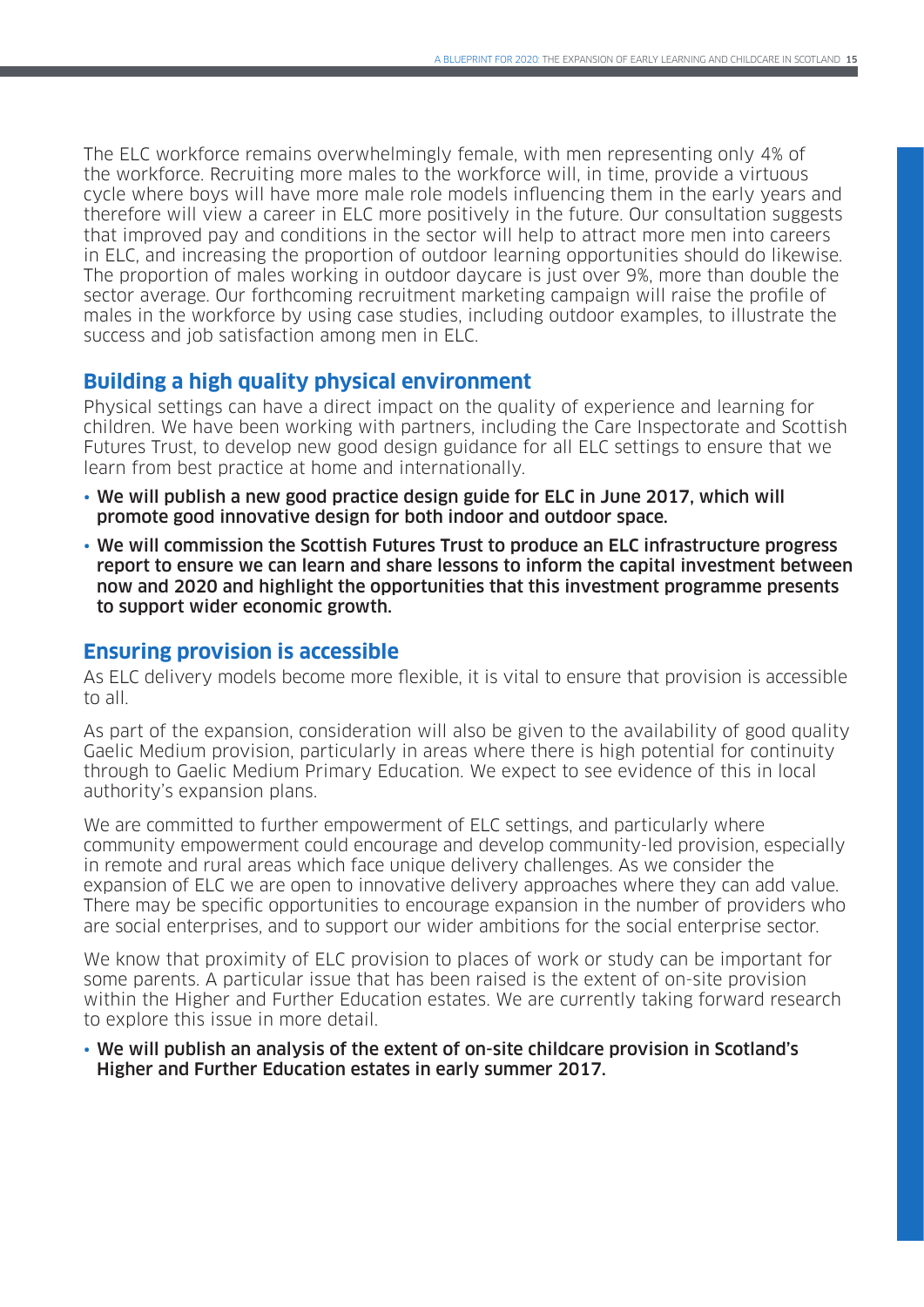The ELC workforce remains overwhelmingly female, with men representing only 4% of the workforce. Recruiting more males to the workforce will, in time, provide a virtuous cycle where boys will have more male role models influencing them in the early years and therefore will view a career in ELC more positively in the future. Our consultation suggests that improved pay and conditions in the sector will help to attract more men into careers in ELC, and increasing the proportion of outdoor learning opportunities should do likewise. The proportion of males working in outdoor daycare is just over 9%, more than double the sector average. Our forthcoming recruitment marketing campaign will raise the profile of males in the workforce by using case studies, including outdoor examples, to illustrate the success and job satisfaction among men in ELC.

## **Building a high quality physical environment**

Physical settings can have a direct impact on the quality of experience and learning for children. We have been working with partners, including the Care Inspectorate and Scottish Futures Trust, to develop new good design guidance for all ELC settings to ensure that we learn from best practice at home and internationally.

- We will publish a new good practice design guide for ELC in June 2017, which will promote good innovative design for both indoor and outdoor space.
- We will commission the Scottish Futures Trust to produce an ELC infrastructure progress report to ensure we can learn and share lessons to inform the capital investment between now and 2020 and highlight the opportunities that this investment programme presents to support wider economic growth.

### **Ensuring provision is accessible**

As ELC delivery models become more flexible, it is vital to ensure that provision is accessible to all.

As part of the expansion, consideration will also be given to the availability of good quality Gaelic Medium provision, particularly in areas where there is high potential for continuity through to Gaelic Medium Primary Education. We expect to see evidence of this in local authority's expansion plans.

We are committed to further empowerment of ELC settings, and particularly where community empowerment could encourage and develop community-led provision, especially in remote and rural areas which face unique delivery challenges. As we consider the expansion of ELC we are open to innovative delivery approaches where they can add value. There may be specific opportunities to encourage expansion in the number of providers who are social enterprises, and to support our wider ambitions for the social enterprise sector.

We know that proximity of ELC provision to places of work or study can be important for some parents. A particular issue that has been raised is the extent of on-site provision within the Higher and Further Education estates. We are currently taking forward research to explore this issue in more detail.

#### • We will publish an analysis of the extent of on-site childcare provision in Scotland's Higher and Further Education estates in early summer 2017.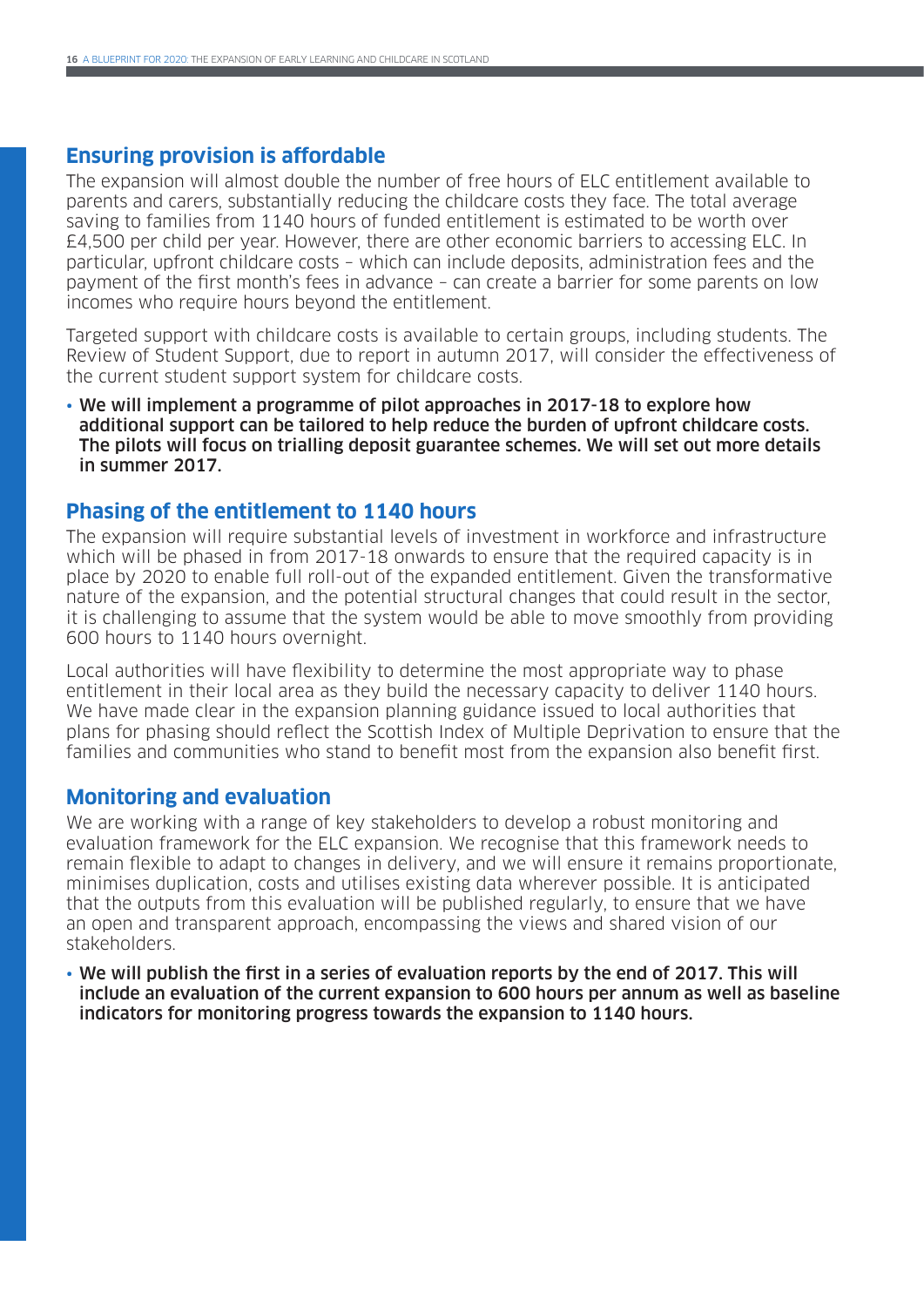### **Ensuring provision is affordable**

The expansion will almost double the number of free hours of ELC entitlement available to parents and carers, substantially reducing the childcare costs they face. The total average saving to families from 1140 hours of funded entitlement is estimated to be worth over £4,500 per child per year. However, there are other economic barriers to accessing ELC. In particular, upfront childcare costs – which can include deposits, administration fees and the payment of the first month's fees in advance – can create a barrier for some parents on low incomes who require hours beyond the entitlement.

Targeted support with childcare costs is available to certain groups, including students. The Review of Student Support, due to report in autumn 2017, will consider the effectiveness of the current student support system for childcare costs.

• We will implement a programme of pilot approaches in 2017-18 to explore how additional support can be tailored to help reduce the burden of upfront childcare costs. The pilots will focus on trialling deposit guarantee schemes. We will set out more details in summer 2017.

### **Phasing of the entitlement to 1140 hours**

The expansion will require substantial levels of investment in workforce and infrastructure which will be phased in from 2017-18 onwards to ensure that the required capacity is in place by 2020 to enable full roll-out of the expanded entitlement. Given the transformative nature of the expansion, and the potential structural changes that could result in the sector, it is challenging to assume that the system would be able to move smoothly from providing 600 hours to 1140 hours overnight.

Local authorities will have flexibility to determine the most appropriate way to phase entitlement in their local area as they build the necessary capacity to deliver 1140 hours. We have made clear in the expansion planning guidance issued to local authorities that plans for phasing should reflect the Scottish Index of Multiple Deprivation to ensure that the families and communities who stand to benefit most from the expansion also benefit first.

#### **Monitoring and evaluation**

We are working with a range of key stakeholders to develop a robust monitoring and evaluation framework for the ELC expansion. We recognise that this framework needs to remain flexible to adapt to changes in delivery, and we will ensure it remains proportionate, minimises duplication, costs and utilises existing data wherever possible. It is anticipated that the outputs from this evaluation will be published regularly, to ensure that we have an open and transparent approach, encompassing the views and shared vision of our stakeholders.

• We will publish the first in a series of evaluation reports by the end of 2017. This will include an evaluation of the current expansion to 600 hours per annum as well as baseline indicators for monitoring progress towards the expansion to 1140 hours.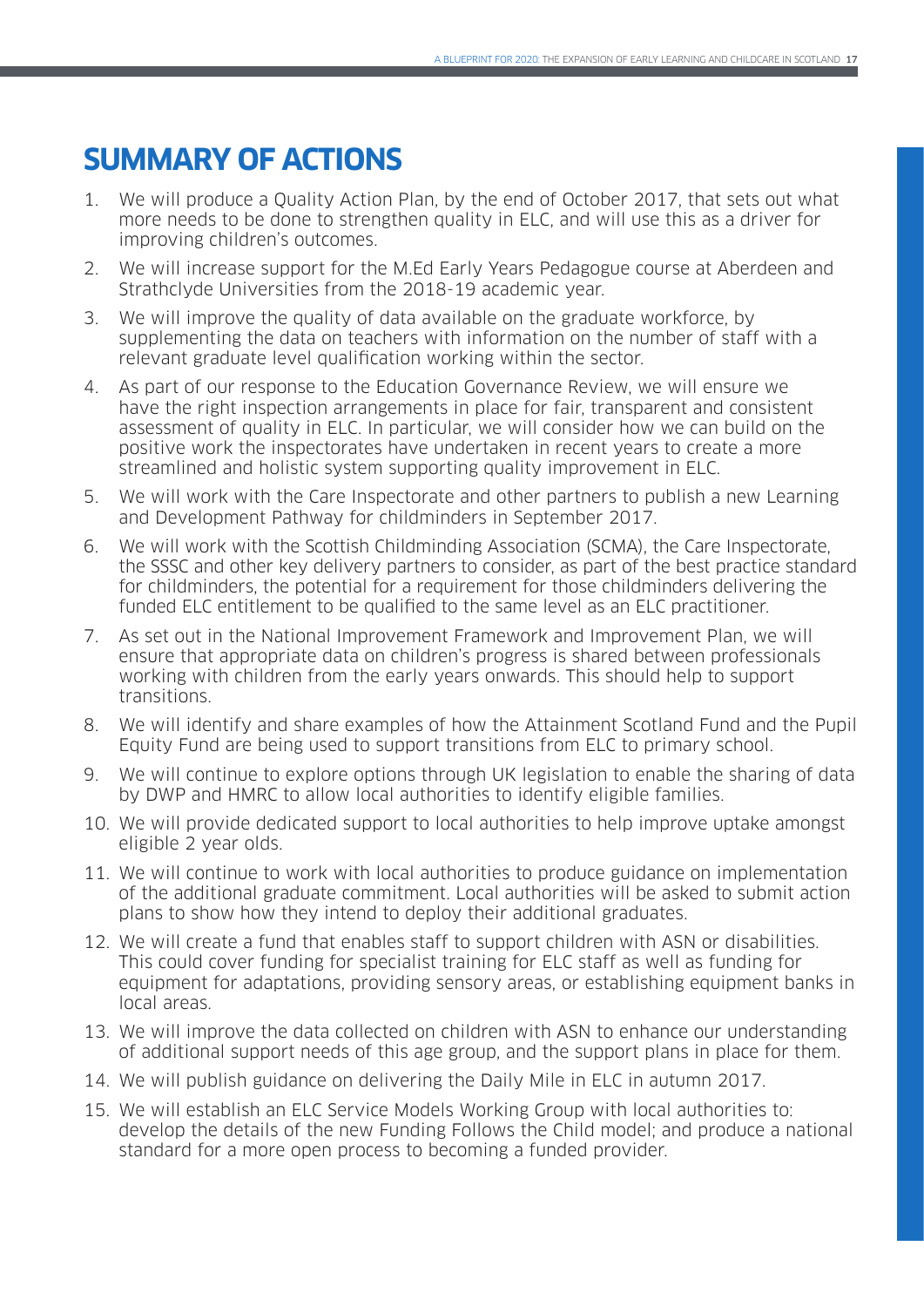# **SUMMARY OF ACTIONS**

- 1. We will produce a Quality Action Plan, by the end of October 2017, that sets out what more needs to be done to strengthen quality in ELC, and will use this as a driver for improving children's outcomes.
- 2. We will increase support for the M.Ed Early Years Pedagogue course at Aberdeen and Strathclyde Universities from the 2018-19 academic year.
- 3. We will improve the quality of data available on the graduate workforce, by supplementing the data on teachers with information on the number of staff with a relevant graduate level qualification working within the sector.
- 4. As part of our response to the Education Governance Review, we will ensure we have the right inspection arrangements in place for fair, transparent and consistent assessment of quality in ELC. In particular, we will consider how we can build on the positive work the inspectorates have undertaken in recent years to create a more streamlined and holistic system supporting quality improvement in ELC.
- 5. We will work with the Care Inspectorate and other partners to publish a new Learning and Development Pathway for childminders in September 2017.
- 6. We will work with the Scottish Childminding Association (SCMA), the Care Inspectorate, the SSSC and other key delivery partners to consider, as part of the best practice standard for childminders, the potential for a requirement for those childminders delivering the funded ELC entitlement to be qualified to the same level as an ELC practitioner.
- 7. As set out in the National Improvement Framework and Improvement Plan, we will ensure that appropriate data on children's progress is shared between professionals working with children from the early years onwards. This should help to support transitions.
- 8. We will identify and share examples of how the Attainment Scotland Fund and the Pupil Equity Fund are being used to support transitions from ELC to primary school.
- 9. We will continue to explore options through UK legislation to enable the sharing of data by DWP and HMRC to allow local authorities to identify eligible families.
- 10. We will provide dedicated support to local authorities to help improve uptake amongst eligible 2 year olds.
- 11. We will continue to work with local authorities to produce guidance on implementation of the additional graduate commitment. Local authorities will be asked to submit action plans to show how they intend to deploy their additional graduates.
- 12. We will create a fund that enables staff to support children with ASN or disabilities. This could cover funding for specialist training for ELC staff as well as funding for equipment for adaptations, providing sensory areas, or establishing equipment banks in local areas.
- 13. We will improve the data collected on children with ASN to enhance our understanding of additional support needs of this age group, and the support plans in place for them.
- 14. We will publish guidance on delivering the Daily Mile in ELC in autumn 2017.
- 15. We will establish an ELC Service Models Working Group with local authorities to: develop the details of the new Funding Follows the Child model; and produce a national standard for a more open process to becoming a funded provider.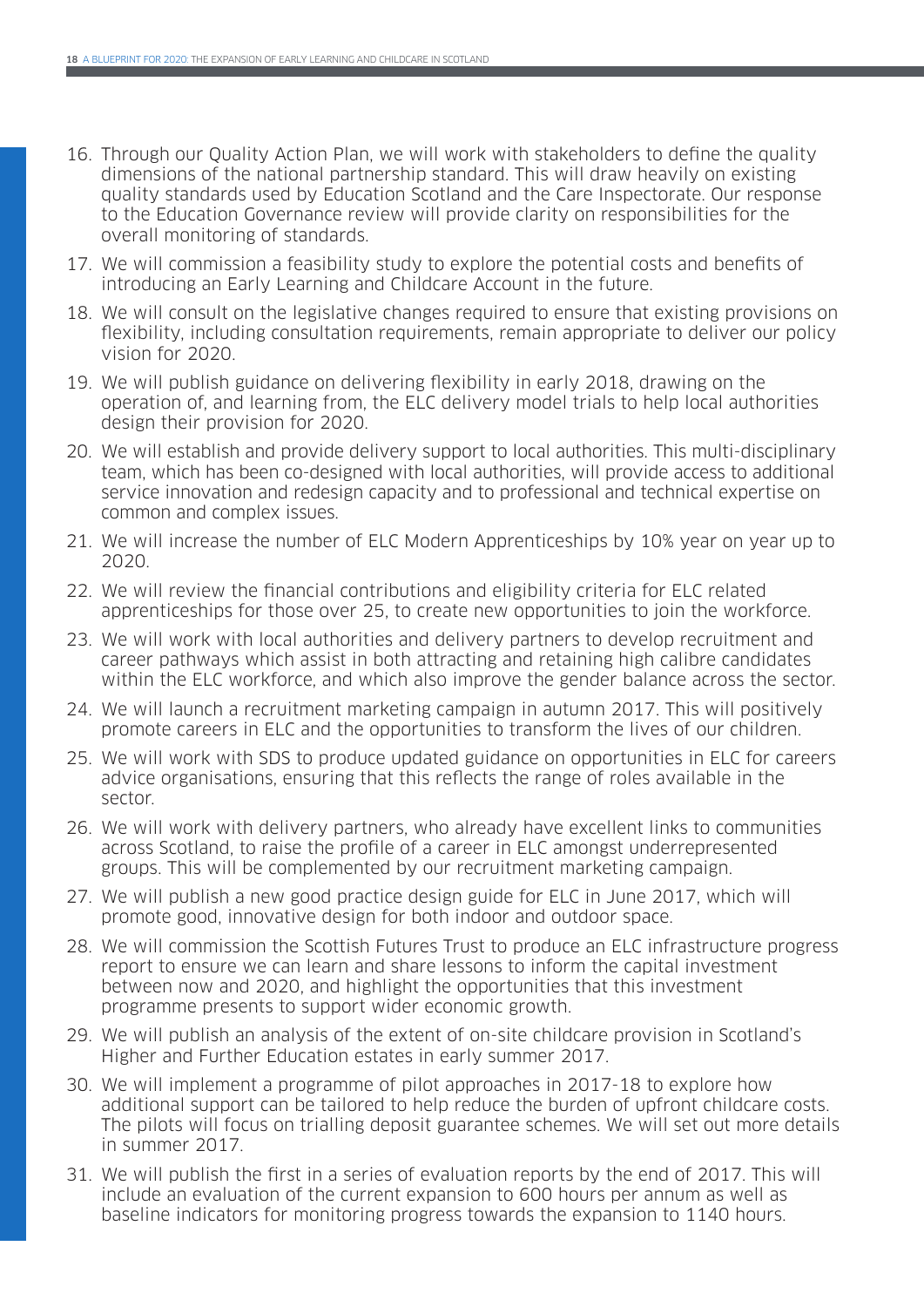- 16. Through our Quality Action Plan, we will work with stakeholders to define the quality dimensions of the national partnership standard. This will draw heavily on existing quality standards used by Education Scotland and the Care Inspectorate. Our response to the Education Governance review will provide clarity on responsibilities for the overall monitoring of standards.
- 17. We will commission a feasibility study to explore the potential costs and benefits of introducing an Early Learning and Childcare Account in the future.
- 18. We will consult on the legislative changes required to ensure that existing provisions on flexibility, including consultation requirements, remain appropriate to deliver our policy vision for 2020.
- 19. We will publish guidance on delivering flexibility in early 2018, drawing on the operation of, and learning from, the ELC delivery model trials to help local authorities design their provision for 2020.
- 20. We will establish and provide delivery support to local authorities. This multi-disciplinary team, which has been co-designed with local authorities, will provide access to additional service innovation and redesign capacity and to professional and technical expertise on common and complex issues.
- 21. We will increase the number of ELC Modern Apprenticeships by 10% year on year up to 2020.
- 22. We will review the financial contributions and eligibility criteria for ELC related apprenticeships for those over 25, to create new opportunities to join the workforce.
- 23. We will work with local authorities and delivery partners to develop recruitment and career pathways which assist in both attracting and retaining high calibre candidates within the ELC workforce, and which also improve the gender balance across the sector.
- 24. We will launch a recruitment marketing campaign in autumn 2017. This will positively promote careers in ELC and the opportunities to transform the lives of our children.
- 25. We will work with SDS to produce updated guidance on opportunities in ELC for careers advice organisations, ensuring that this reflects the range of roles available in the sector.
- 26. We will work with delivery partners, who already have excellent links to communities across Scotland, to raise the profile of a career in ELC amongst underrepresented groups. This will be complemented by our recruitment marketing campaign.
- 27. We will publish a new good practice design guide for ELC in June 2017, which will promote good, innovative design for both indoor and outdoor space.
- 28. We will commission the Scottish Futures Trust to produce an ELC infrastructure progress report to ensure we can learn and share lessons to inform the capital investment between now and 2020, and highlight the opportunities that this investment programme presents to support wider economic growth.
- 29. We will publish an analysis of the extent of on-site childcare provision in Scotland's Higher and Further Education estates in early summer 2017.
- 30. We will implement a programme of pilot approaches in 2017-18 to explore how additional support can be tailored to help reduce the burden of upfront childcare costs. The pilots will focus on trialling deposit guarantee schemes. We will set out more details in summer 2017.
- 31. We will publish the first in a series of evaluation reports by the end of 2017. This will include an evaluation of the current expansion to 600 hours per annum as well as baseline indicators for monitoring progress towards the expansion to 1140 hours.